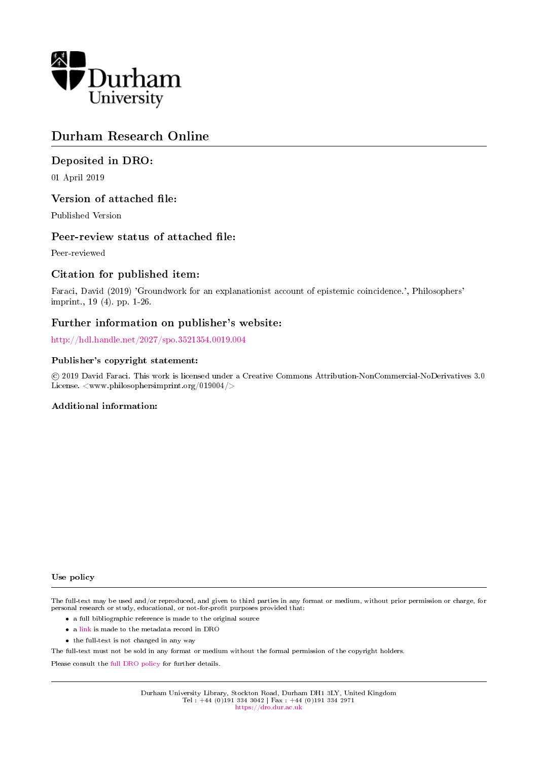

### Durham Research Online

### Deposited in DRO:

01 April 2019

### Version of attached file:

Published Version

### Peer-review status of attached file:

Peer-reviewed

### Citation for published item:

Faraci, David (2019) 'Groundwork for an explanationist account of epistemic coincidence.', Philosophers' imprint., 19 (4). pp. 1-26.

### Further information on publisher's website:

<http://hdl.handle.net/2027/spo.3521354.0019.004>

### Publisher's copyright statement:

 c 2019 David Faraci. This work is licensed under a Creative Commons Attribution-NonCommercial-NoDerivatives 3.0 License. <www.philosophersimprint.org/019004/>

### Additional information:

#### Use policy

The full-text may be used and/or reproduced, and given to third parties in any format or medium, without prior permission or charge, for personal research or study, educational, or not-for-profit purposes provided that:

- a full bibliographic reference is made to the original source
- a [link](http://dro.dur.ac.uk/26790/) is made to the metadata record in DRO
- the full-text is not changed in any way

The full-text must not be sold in any format or medium without the formal permission of the copyright holders.

Please consult the [full DRO policy](https://dro.dur.ac.uk/policies/usepolicy.pdf) for further details.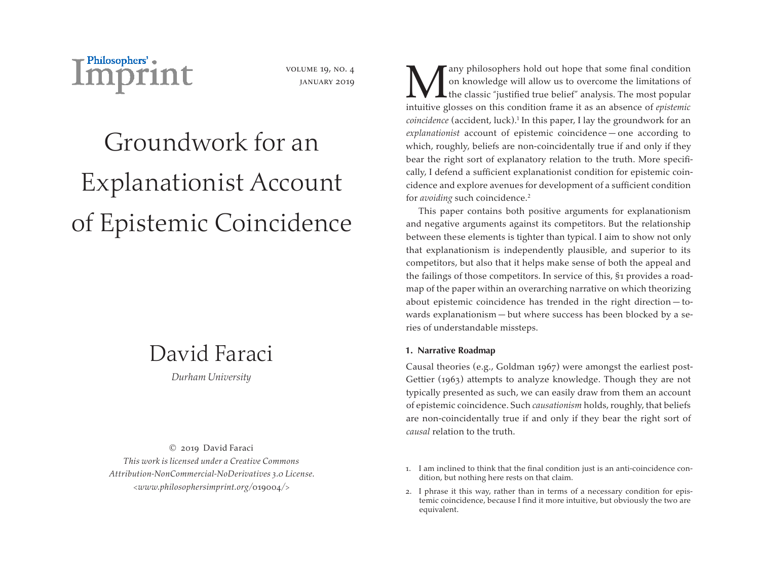

volume 19, no. 4 january 2019

# Groundwork for an Explanationist Account of Epistemic Coincidence

## David Faraci

*Durham University*

© 2019 David Faraci *This work is licensed under a Creative Commons Attribution-NonCommercial-NoDerivatives 3.0 License. <www.philosophersimprint.org/*019004*/>*

**M** any philosophers hold out hope that some final condition<br>on knowledge will allow us to overcome the limitations of<br>the classic "justified true belief" analysis. The most popular<br>intuitive glosses on this condition fram on knowledge will allow us to overcome the limitations of If the classic "justified true belief" analysis. The most popular intuitive glosses on this condition frame it as an absence of *epistemic coincidence* (accident, luck).<sup>1</sup> In this paper, I lay the groundwork for an *explanationist* account of epistemic coincidence — one according to which, roughly, beliefs are non-coincidentally true if and only if they bear the right sort of explanatory relation to the truth. More specifically, I defend a sufficient explanationist condition for epistemic coincidence and explore avenues for development of a sufficient condition for *avoiding* such coincidence.2

This paper contains both positive arguments for explanationism and negative arguments against its competitors. But the relationship between these elements is tighter than typical. I aim to show not only that explanationism is independently plausible, and superior to its competitors, but also that it helps make sense of both the appeal and the failings of those competitors. In service of this, §1 provides a roadmap of the paper within an overarching narrative on which theorizing about epistemic coincidence has trended in the right direction — towards explanationism — but where success has been blocked by a series of understandable missteps.

#### **1. Narrative Roadmap**

Causal theories (e.g., Goldman 1967) were amongst the earliest post-Gettier (1963) attempts to analyze knowledge. Though they are not typically presented as such, we can easily draw from them an account of epistemic coincidence. Such *causationism* holds, roughly, that beliefs are non-coincidentally true if and only if they bear the right sort of *causal* relation to the truth.

- 1. I am inclined to think that the final condition just is an anti-coincidence condition, but nothing here rests on that claim.
- 2. I phrase it this way, rather than in terms of a necessary condition for epistemic coincidence, because I find it more intuitive, but obviously the two are equivalent.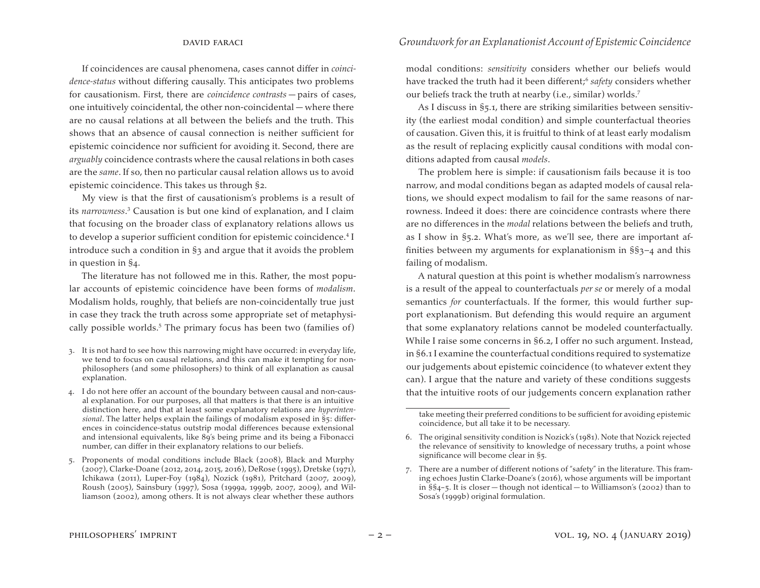If coincidences are causal phenomena, cases cannot differ in *coincidence-status* without differing causally. This anticipates two problems for causationism. First, there are *coincidence contrasts* — pairs of cases, one intuitively coincidental, the other non-coincidental — where there are no causal relations at all between the beliefs and the truth. This shows that an absence of causal connection is neither sufficient for epistemic coincidence nor sufficient for avoiding it. Second, there are *arguably* coincidence contrasts where the causal relations in both cases are the *same*. If so, then no particular causal relation allows us to avoid epistemic coincidence. This takes us through §2.

My view is that the first of causationism's problems is a result of its *narrowness*. <sup>3</sup> Causation is but one kind of explanation, and I claim that focusing on the broader class of explanatory relations allows us to develop a superior sufficient condition for epistemic coincidence.<sup>4</sup> I introduce such a condition in §3 and argue that it avoids the problem in question in §4.

The literature has not followed me in this. Rather, the most popular accounts of epistemic coincidence have been forms of *modalism*. Modalism holds, roughly, that beliefs are non-coincidentally true just in case they track the truth across some appropriate set of metaphysically possible worlds.<sup>5</sup> The primary focus has been two (families of)

- 3. It is not hard to see how this narrowing might have occurred: in everyday life, we tend to focus on causal relations, and this can make it tempting for nonphilosophers (and some philosophers) to think of all explanation as causal explanation.
- 4. I do not here offer an account of the boundary between causal and non-causal explanation. For our purposes, all that matters is that there is an intuitive distinction here, and that at least some explanatory relations are *hyperintensional*. The latter helps explain the failings of modalism exposed in §5: differences in coincidence-status outstrip modal differences because extensional and intensional equivalents, like 89's being prime and its being a Fibonacci number, can differ in their explanatory relations to our beliefs.
- 5. Proponents of modal conditions include Black (2008), Black and Murphy (2007), Clarke-Doane (2012, 2014, 2015, 2016), DeRose (1995), Dretske (1971), Ichikawa (2011), Luper-Foy (1984), Nozick (1981), Pritchard (2007, 2009), Roush (2005), Sainsbury (1997), Sosa (1999a, 1999b, 2007, 2009), and Williamson (2002), among others. It is not always clear whether these authors

modal conditions: *sensitivity* considers whether our beliefs would have tracked the truth had it been different;<sup>6</sup> safety considers whether our beliefs track the truth at nearby (i.e., similar) worlds.7

As I discuss in §5.1, there are striking similarities between sensitivity (the earliest modal condition) and simple counterfactual theories of causation. Given this, it is fruitful to think of at least early modalism as the result of replacing explicitly causal conditions with modal conditions adapted from causal *models*.

The problem here is simple: if causationism fails because it is too narrow, and modal conditions began as adapted models of causal relations, we should expect modalism to fail for the same reasons of narrowness. Indeed it does: there are coincidence contrasts where there are no differences in the *modal* relations between the beliefs and truth, as I show in §5.2. What's more, as we'll see, there are important affinities between my arguments for explanationism in §§3–4 and this failing of modalism.

A natural question at this point is whether modalism's narrowness is a result of the appeal to counterfactuals *per se* or merely of a modal semantics *for* counterfactuals. If the former, this would further support explanationism. But defending this would require an argument that some explanatory relations cannot be modeled counterfactually. While I raise some concerns in §6.2, I offer no such argument. Instead, in §6.1 I examine the counterfactual conditions required to systematize our judgements about epistemic coincidence (to whatever extent they can). I argue that the nature and variety of these conditions suggests that the intuitive roots of our judgements concern explanation rather

take meeting their preferred conditions to be sufficient for avoiding epistemic coincidence, but all take it to be necessary.

<sup>6.</sup> The original sensitivity condition is Nozick's (1981). Note that Nozick rejected the relevance of sensitivity to knowledge of necessary truths, a point whose significance will become clear in §5.

<sup>7.</sup> There are a number of different notions of "safety" in the literature. This framing echoes Justin Clarke-Doane's (2016), whose arguments will be important in §§4–5. It is closer — though not identical — to Williamson's (2002) than to Sosa's (1999b) original formulation.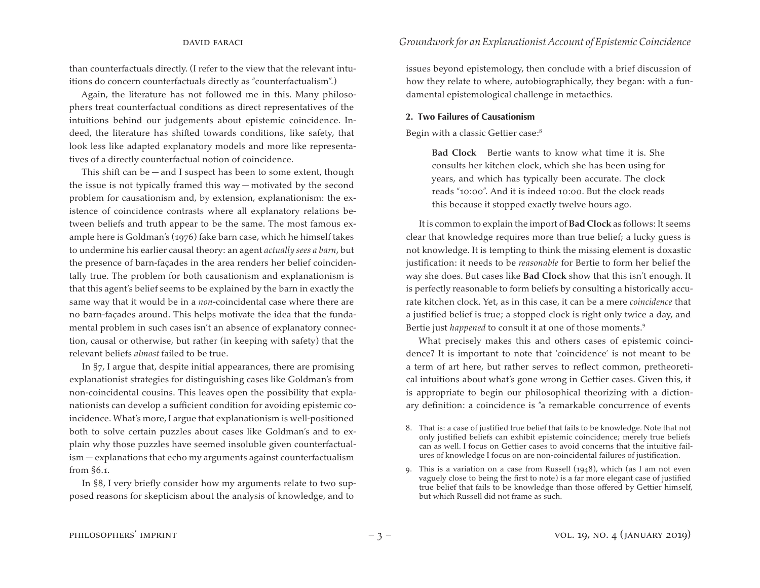than counterfactuals directly. (I refer to the view that the relevant intuitions do concern counterfactuals directly as "counterfactualism".)

Again, the literature has not followed me in this. Many philosophers treat counterfactual conditions as direct representatives of the intuitions behind our judgements about epistemic coincidence. Indeed, the literature has shifted towards conditions, like safety, that look less like adapted explanatory models and more like representatives of a directly counterfactual notion of coincidence.

This shift can be  $-$  and I suspect has been to some extent, though the issue is not typically framed this way — motivated by the second problem for causationism and, by extension, explanationism: the existence of coincidence contrasts where all explanatory relations between beliefs and truth appear to be the same. The most famous example here is Goldman's (1976) fake barn case, which he himself takes to undermine his earlier causal theory: an agent *actually sees a barn*, but the presence of barn-façades in the area renders her belief coincidentally true. The problem for both causationism and explanationism is that this agent's belief seems to be explained by the barn in exactly the same way that it would be in a *non*-coincidental case where there are no barn-façades around. This helps motivate the idea that the fundamental problem in such cases isn't an absence of explanatory connection, causal or otherwise, but rather (in keeping with safety) that the relevant beliefs *almost* failed to be true.

In §7, I argue that, despite initial appearances, there are promising explanationist strategies for distinguishing cases like Goldman's from non-coincidental cousins. This leaves open the possibility that explanationists can develop a sufficient condition for avoiding epistemic coincidence. What's more, I argue that explanationism is well-positioned both to solve certain puzzles about cases like Goldman's and to explain why those puzzles have seemed insoluble given counterfactualism — explanations that echo my arguments against counterfactualism from §6.1.

In §8, I very briefly consider how my arguments relate to two supposed reasons for skepticism about the analysis of knowledge, and to

#### david faraci *Groundwork for an Explanationist Account of Epistemic Coincidence*

issues beyond epistemology, then conclude with a brief discussion of how they relate to where, autobiographically, they began: with a fundamental epistemological challenge in metaethics.

#### **2. Two Failures of Causationism**

Begin with a classic Gettier case:8

**Bad Clock** Bertie wants to know what time it is. She consults her kitchen clock, which she has been using for years, and which has typically been accurate. The clock reads "10:00". And it is indeed 10:00. But the clock reads this because it stopped exactly twelve hours ago.

It is common to explain the import of **Bad Clock** as follows: It seems clear that knowledge requires more than true belief; a lucky guess is not knowledge. It is tempting to think the missing element is doxastic justification: it needs to be *reasonable* for Bertie to form her belief the way she does. But cases like **Bad Clock** show that this isn't enough. It is perfectly reasonable to form beliefs by consulting a historically accurate kitchen clock. Yet, as in this case, it can be a mere *coincidence* that a justified belief is true; a stopped clock is right only twice a day, and Bertie just *happened* to consult it at one of those moments.<sup>9</sup>

What precisely makes this and others cases of epistemic coincidence? It is important to note that 'coincidence' is not meant to be a term of art here, but rather serves to reflect common, pretheoretical intuitions about what's gone wrong in Gettier cases. Given this, it is appropriate to begin our philosophical theorizing with a dictionary definition: a coincidence is "a remarkable concurrence of events

- 8. That is: a case of justified true belief that fails to be knowledge. Note that not only justified beliefs can exhibit epistemic coincidence; merely true beliefs can as well. I focus on Gettier cases to avoid concerns that the intuitive failures of knowledge I focus on are non-coincidental failures of justification.
- 9. This is a variation on a case from Russell  $(1948)$ , which (as I am not even vaguely close to being the first to note) is a far more elegant case of justified true belief that fails to be knowledge than those offered by Gettier himself, but which Russell did not frame as such.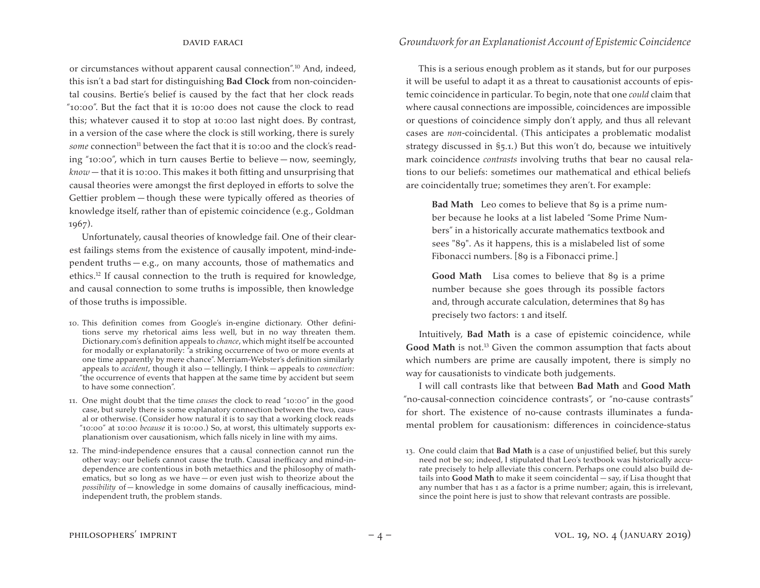or circumstances without apparent causal connection".10 And, indeed, this isn't a bad start for distinguishing **Bad Clock** from non-coincidental cousins. Bertie's belief is caused by the fact that her clock reads "10:00". But the fact that it is 10:00 does not cause the clock to read this; whatever caused it to stop at 10:00 last night does. By contrast, in a version of the case where the clock is still working, there is surely *some* connection<sup>11</sup> between the fact that it is 10:00 and the clock's reading "10:00", which in turn causes Bertie to believe — now, seemingly, *know* — that it is 10:00. This makes it both fitting and unsurprising that causal theories were amongst the first deployed in efforts to solve the Gettier problem — though these were typically offered as theories of knowledge itself, rather than of epistemic coincidence (e.g., Goldman 1967).

Unfortunately, causal theories of knowledge fail. One of their clearest failings stems from the existence of causally impotent, mind-independent truths — e.g., on many accounts, those of mathematics and ethics.<sup>12</sup> If causal connection to the truth is required for knowledge, and causal connection to some truths is impossible, then knowledge of those truths is impossible.

- 10. This definition comes from Google's in-engine dictionary. Other definitions serve my rhetorical aims less well, but in no way threaten them. Dictionary.com's definition appeals to *chance*, which might itself be accounted for modally or explanatorily: "a striking occurrence of two or more events at one time apparently by mere chance". Merriam-Webster's definition similarly appeals to *accident*, though it also — tellingly, I think — appeals to *connection*: "the occurrence of events that happen at the same time by accident but seem to have some connection".
- 11. One might doubt that the time *causes* the clock to read "10:00" in the good case, but surely there is some explanatory connection between the two, causal or otherwise. (Consider how natural it is to say that a working clock reads "10:00" at 10:00 *because* it is 10:00.) So, at worst, this ultimately supports explanationism over causationism, which falls nicely in line with my aims.
- 12. The mind-independence ensures that a causal connection cannot run the other way: our beliefs cannot cause the truth. Causal inefficacy and mind-independence are contentious in both metaethics and the philosophy of mathematics, but so long as we have — or even just wish to theorize about the *possibility* of — knowledge in some domains of causally inefficacious, mindindependent truth, the problem stands.

This is a serious enough problem as it stands, but for our purposes it will be useful to adapt it as a threat to causationist accounts of epistemic coincidence in particular. To begin, note that one *could* claim that where causal connections are impossible, coincidences are impossible or questions of coincidence simply don't apply, and thus all relevant cases are *non*-coincidental. (This anticipates a problematic modalist strategy discussed in §5.1.) But this won't do, because we intuitively mark coincidence *contrasts* involving truths that bear no causal relations to our beliefs: sometimes our mathematical and ethical beliefs are coincidentally true; sometimes they aren't. For example:

**Bad Math** Leo comes to believe that 89 is a prime number because he looks at a list labeled "Some Prime Numbers" in a historically accurate mathematics textbook and sees "89". As it happens, this is a mislabeled list of some Fibonacci numbers. [89 is a Fibonacci prime.]

**Good Math** Lisa comes to believe that 89 is a prime number because she goes through its possible factors and, through accurate calculation, determines that 89 has precisely two factors: 1 and itself.

Intuitively, **Bad Math** is a case of epistemic coincidence, while Good Math is not.<sup>13</sup> Given the common assumption that facts about which numbers are prime are causally impotent, there is simply no way for causationists to vindicate both judgements.

I will call contrasts like that between **Bad Math** and **Good Math** "no-causal-connection coincidence contrasts", or "no-cause contrasts" for short. The existence of no-cause contrasts illuminates a fundamental problem for causationism: differences in coincidence-status

<sup>13.</sup> One could claim that **Bad Math** is a case of unjustified belief, but this surely need not be so; indeed, I stipulated that Leo's textbook was historically accurate precisely to help alleviate this concern. Perhaps one could also build details into **Good Math** to make it seem coincidental — say, if Lisa thought that any number that has 1 as a factor is a prime number; again, this is irrelevant, since the point here is just to show that relevant contrasts are possible.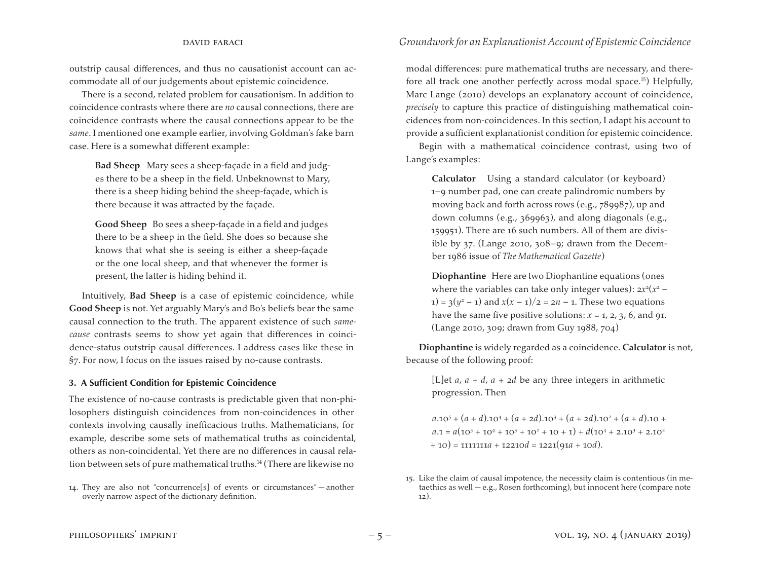outstrip causal differences, and thus no causationist account can accommodate all of our judgements about epistemic coincidence.

There is a second, related problem for causationism. In addition to coincidence contrasts where there are *no* causal connections, there are coincidence contrasts where the causal connections appear to be the *same*. I mentioned one example earlier, involving Goldman's fake barn case. Here is a somewhat different example:

**Bad Sheep** Mary sees a sheep-façade in a field and judges there to be a sheep in the field. Unbeknownst to Mary, there is a sheep hiding behind the sheep-façade, which is there because it was attracted by the façade.

**Good Sheep** Bo sees a sheep-façade in a field and judges there to be a sheep in the field. She does so because she knows that what she is seeing is either a sheep-façade or the one local sheep, and that whenever the former is present, the latter is hiding behind it.

Intuitively, **Bad Sheep** is a case of epistemic coincidence, while **Good Sheep** is not. Yet arguably Mary's and Bo's beliefs bear the same causal connection to the truth. The apparent existence of such *samecause* contrasts seems to show yet again that differences in coincidence-status outstrip causal differences. I address cases like these in §7. For now, I focus on the issues raised by no-cause contrasts.

#### **3. A Sufficient Condition for Epistemic Coincidence**

The existence of no-cause contrasts is predictable given that non-philosophers distinguish coincidences from non-coincidences in other contexts involving causally inefficacious truths. Mathematicians, for example, describe some sets of mathematical truths as coincidental, others as non-coincidental. Yet there are no differences in causal relation between sets of pure mathematical truths.14 (There are likewise no

modal differences: pure mathematical truths are necessary, and therefore all track one another perfectly across modal space.15) Helpfully, Marc Lange (2010) develops an explanatory account of coincidence, *precisely* to capture this practice of distinguishing mathematical coincidences from non-coincidences. In this section, I adapt his account to provide a sufficient explanationist condition for epistemic coincidence.

Begin with a mathematical coincidence contrast, using two of Lange's examples:

**Calculator** Using a standard calculator (or keyboard) 1–9 number pad, one can create palindromic numbers by moving back and forth across rows (e.g., 789987), up and down columns (e.g., 369963), and along diagonals (e.g., 159951). There are 16 such numbers. All of them are divisible by 37. (Lange 2010, 308–9; drawn from the December 1986 issue of *The Mathematical Gazette*)

**Diophantine** Here are two Diophantine equations (ones where the variables can take only integer values):  $2x^2(x^2 - y^2)$ 1) =  $3(y^2 - 1)$  and  $x(x - 1)/2 = 2n - 1$ . These two equations have the same five positive solutions:  $x = 1$ , 2, 3, 6, and 91. (Lange 2010, 309; drawn from Guy 1988, 704)

**Diophantine** is widely regarded as a coincidence. **Calculator** is not, because of the following proof:

[L]et  $a$ ,  $a + d$ ,  $a + 2d$  be any three integers in arithmetic progression. Then

 $a \cdot 10^5 + (a + d) \cdot 10^4 + (a + 2d) \cdot 10^3 + (a + 2d) \cdot 10^2 + (a + d) \cdot 10 +$  $a.1 = a(10^5 + 10^4 + 10^3 + 10^2 + 10 + 1) + d(10^4 + 2.10^3 + 2.10^2)$ + 10) = 1111111*a* + 12210*d* = 1221(91*a* + 10*d*).

<sup>14.</sup> They are also not "concurrence[s] of events or circumstances" — another overly narrow aspect of the dictionary definition.

<sup>15.</sup> Like the claim of causal impotence, the necessity claim is contentious (in metaethics as well — e.g., Rosen forthcoming), but innocent here (compare note 12).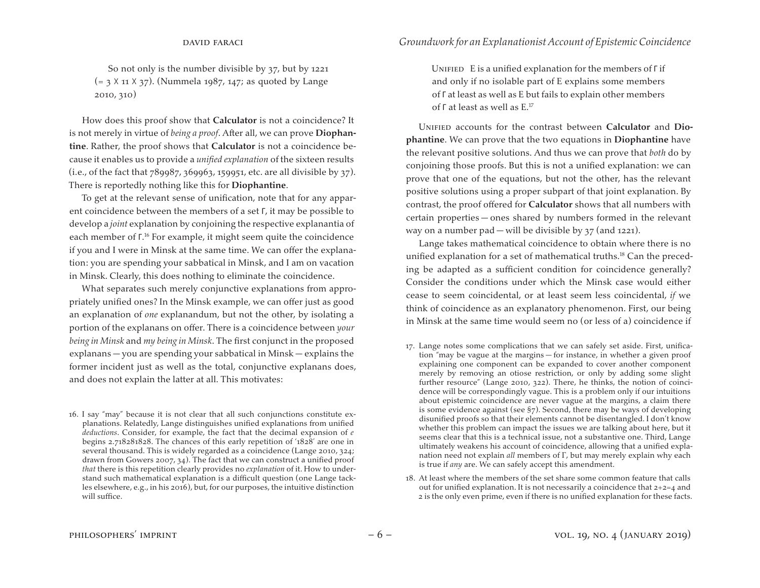So not only is the number divisible by 37, but by 1221 (= 3 X 11 X 37). (Nummela 1987, 147; as quoted by Lange 2010, 310)

How does this proof show that **Calculator** is not a coincidence? It is not merely in virtue of *being a proof*. After all, we can prove **Diophantine**. Rather, the proof shows that **Calculator** is not a coincidence because it enables us to provide a *unified explanation* of the sixteen results  $(i.e., of the fact that 789987, 369963, 159951, etc. are all divisible by 37).$ There is reportedly nothing like this for **Diophantine**.

To get at the relevant sense of unification, note that for any apparent coincidence between the members of a set Γ, it may be possible to develop a *joint* explanation by conjoining the respective explanantia of each member of Γ. <sup>16</sup> For example, it might seem quite the coincidence if you and I were in Minsk at the same time. We can offer the explanation: you are spending your sabbatical in Minsk, and I am on vacation in Minsk. Clearly, this does nothing to eliminate the coincidence.

What separates such merely conjunctive explanations from appropriately unified ones? In the Minsk example, we can offer just as good an explanation of *one* explanandum, but not the other, by isolating a portion of the explanans on offer. There is a coincidence between *your being in Minsk* and *my being in Minsk*. The first conjunct in the proposed explanans — you are spending your sabbatical in Minsk — explains the former incident just as well as the total, conjunctive explanans does, and does not explain the latter at all. This motivates:

16. I say "may" because it is not clear that all such conjunctions constitute explanations. Relatedly, Lange distinguishes unified explanations from unified *deductions*. Consider, for example, the fact that the decimal expansion of *e*  begins 2.718281828. The chances of this early repetition of '1828' are one in several thousand. This is widely regarded as a coincidence (Lange 2010, 324; drawn from Gowers 2007, 34). The fact that we can construct a unified proof *that* there is this repetition clearly provides no *explanation* of it. How to understand such mathematical explanation is a difficult question (one Lange tackles elsewhere, e.g., in his 2016), but, for our purposes, the intuitive distinction will suffice.

Unified E is a unified explanation for the members of Γ if and only if no isolable part of E explains some members of Γ at least as well as E but fails to explain other members of Γ at least as well as E.17

Unified accounts for the contrast between **Calculator** and **Diophantine**. We can prove that the two equations in **Diophantine** have the relevant positive solutions. And thus we can prove that *both* do by conjoining those proofs. But this is not a unified explanation: we can prove that one of the equations, but not the other, has the relevant positive solutions using a proper subpart of that joint explanation. By contrast, the proof offered for **Calculator** shows that all numbers with certain properties — ones shared by numbers formed in the relevant way on a number pad — will be divisible by  $37$  (and 1221).

Lange takes mathematical coincidence to obtain where there is no unified explanation for a set of mathematical truths.<sup>18</sup> Can the preceding be adapted as a sufficient condition for coincidence generally? Consider the conditions under which the Minsk case would either cease to seem coincidental, or at least seem less coincidental, *if* we think of coincidence as an explanatory phenomenon. First, our being in Minsk at the same time would seem no (or less of a) coincidence if

- 17. Lange notes some complications that we can safely set aside. First, unification "may be vague at the margins — for instance, in whether a given proof explaining one component can be expanded to cover another component merely by removing an otiose restriction, or only by adding some slight further resource" (Lange 2010, 322). There, he thinks, the notion of coincidence will be correspondingly vague. This is a problem only if our intuitions about epistemic coincidence are never vague at the margins, a claim there is some evidence against (see §7). Second, there may be ways of developing disunified proofs so that their elements cannot be disentangled. I don't know whether this problem can impact the issues we are talking about here, but it seems clear that this is a technical issue, not a substantive one. Third, Lange ultimately weakens his account of coincidence, allowing that a unified explanation need not explain *all* members of Γ, but may merely explain why each is true if *any* are. We can safely accept this amendment.
- 18. At least where the members of the set share some common feature that calls out for unified explanation. It is not necessarily a coincidence that 2+2=4 and 2 is the only even prime, even if there is no unified explanation for these facts.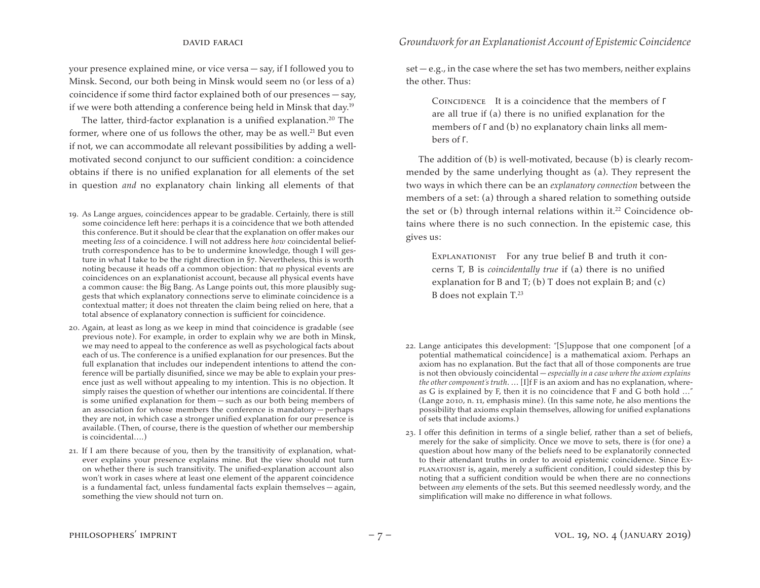your presence explained mine, or vice versa — say, if I followed you to Minsk. Second, our both being in Minsk would seem no (or less of a) coincidence if some third factor explained both of our presences — say, if we were both attending a conference being held in Minsk that day.19

The latter, third-factor explanation is a unified explanation.<sup>20</sup> The former, where one of us follows the other, may be as well.<sup>21</sup> But even if not, we can accommodate all relevant possibilities by adding a wellmotivated second conjunct to our sufficient condition: a coincidence obtains if there is no unified explanation for all elements of the set in question *and* no explanatory chain linking all elements of that

- 19. As Lange argues, coincidences appear to be gradable. Certainly, there is still some coincidence left here: perhaps it is a coincidence that we both attended this conference. But it should be clear that the explanation on offer makes our meeting *less* of a coincidence. I will not address here *how* coincidental belieftruth correspondence has to be to undermine knowledge, though I will gesture in what I take to be the right direction in §7. Nevertheless, this is worth noting because it heads off a common objection: that *no* physical events are coincidences on an explanationist account, because all physical events have a common cause: the Big Bang. As Lange points out, this more plausibly suggests that which explanatory connections serve to eliminate coincidence is a contextual matter; it does not threaten the claim being relied on here, that a total absence of explanatory connection is sufficient for coincidence.
- 20. Again, at least as long as we keep in mind that coincidence is gradable (see previous note). For example, in order to explain why we are both in Minsk, we may need to appeal to the conference as well as psychological facts about each of us. The conference is a unified explanation for our presences. But the full explanation that includes our independent intentions to attend the conference will be partially disunified, since we may be able to explain your presence just as well without appealing to my intention. This is no objection. It simply raises the question of whether our intentions are coincidental. If there is some unified explanation for them — such as our both being members of an association for whose members the conference is mandatory — perhaps they are not, in which case a stronger unified explanation for our presence is available. (Then, of course, there is the question of whether our membership is coincidental….)
- 21. If I am there because of you, then by the transitivity of explanation, whatever explains your presence explains mine. But the view should not turn on whether there is such transitivity. The unified-explanation account also won't work in cases where at least one element of the apparent coincidence is a fundamental fact, unless fundamental facts explain themselves — again, something the view should not turn on.

 $set - e.g.,$  in the case where the set has two members, neither explains the other. Thus:

Coincidence It is a coincidence that the members of Γ are all true if (a) there is no unified explanation for the members of Γ and (b) no explanatory chain links all members of Γ.

The addition of (b) is well-motivated, because (b) is clearly recommended by the same underlying thought as (a). They represent the two ways in which there can be an *explanatory connection* between the members of a set: (a) through a shared relation to something outside the set or  $(b)$  through internal relations within it.<sup>22</sup> Coincidence obtains where there is no such connection. In the epistemic case, this gives us:

Explanationist For any true belief B and truth it concerns T, B is *coincidentally true* if (a) there is no unified explanation for B and  $T$ ; (b) T does not explain B; and (c) B does not explain T.<sup>23</sup>

- 22. Lange anticipates this development: "[S]uppose that one component [of a potential mathematical coincidence] is a mathematical axiom. Perhaps an axiom has no explanation. But the fact that all of those components are true is not then obviously coincidental — *especially in a case where the axiom explains the other component's truth*. … [I]f F is an axiom and has no explanation, whereas G is explained by F, then it is no coincidence that F and G both hold …" (Lange 2010, n. 11, emphasis mine). (In this same note, he also mentions the possibility that axioms explain themselves, allowing for unified explanations of sets that include axioms.)
- 23. I offer this definition in terms of a single belief, rather than a set of beliefs, merely for the sake of simplicity. Once we move to sets, there is (for one) a question about how many of the beliefs need to be explanatorily connected to their attendant truths in order to avoid epistemic coincidence. Since Explanationist is, again, merely a sufficient condition, I could sidestep this by noting that a sufficient condition would be when there are no connections between *any* elements of the sets. But this seemed needlessly wordy, and the simplification will make no difference in what follows.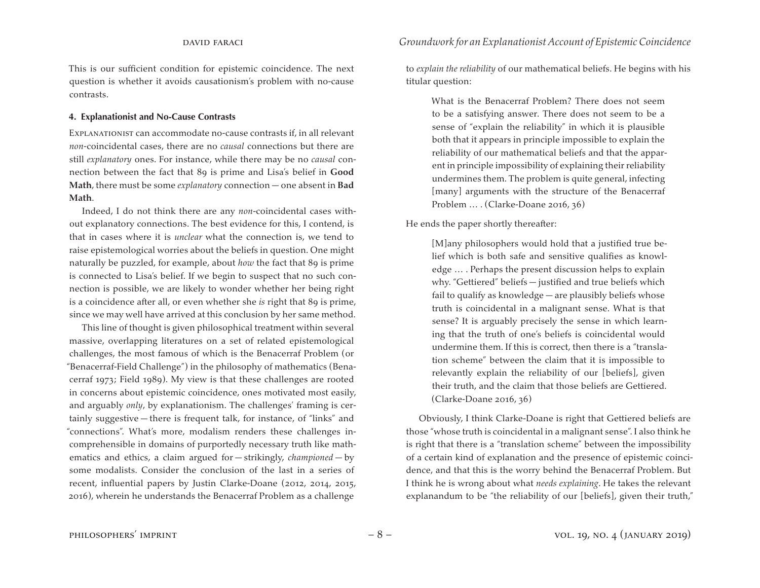This is our sufficient condition for epistemic coincidence. The next question is whether it avoids causationism's problem with no-cause contrasts.

#### **4. Explanationist and No-Cause Contrasts**

Explanationist can accommodate no-cause contrasts if, in all relevant *non*-coincidental cases, there are no *causal* connections but there are still *explanatory* ones. For instance, while there may be no *causal* connection between the fact that 89 is prime and Lisa's belief in **Good Math**, there must be some *explanatory* connection — one absent in **Bad Math**.

Indeed, I do not think there are any *non*-coincidental cases without explanatory connections. The best evidence for this, I contend, is that in cases where it is *unclear* what the connection is, we tend to raise epistemological worries about the beliefs in question. One might naturally be puzzled, for example, about *how* the fact that 89 is prime is connected to Lisa's belief. If we begin to suspect that no such connection is possible, we are likely to wonder whether her being right is a coincidence after all, or even whether she *is* right that 89 is prime, since we may well have arrived at this conclusion by her same method.

This line of thought is given philosophical treatment within several massive, overlapping literatures on a set of related epistemological challenges, the most famous of which is the Benacerraf Problem (or "Benacerraf-Field Challenge") in the philosophy of mathematics (Benacerraf 1973; Field 1989). My view is that these challenges are rooted in concerns about epistemic coincidence, ones motivated most easily, and arguably *only*, by explanationism. The challenges' framing is certainly suggestive — there is frequent talk, for instance, of "links" and "connections". What's more, modalism renders these challenges incomprehensible in domains of purportedly necessary truth like mathematics and ethics, a claim argued for — strikingly, *championed* — by some modalists. Consider the conclusion of the last in a series of recent, influential papers by Justin Clarke-Doane (2012, 2014, 2015, 2016), wherein he understands the Benacerraf Problem as a challenge

to *explain the reliability* of our mathematical beliefs. He begins with his titular question:

What is the Benacerraf Problem? There does not seem to be a satisfying answer. There does not seem to be a sense of "explain the reliability" in which it is plausible both that it appears in principle impossible to explain the reliability of our mathematical beliefs and that the apparent in principle impossibility of explaining their reliability undermines them. The problem is quite general, infecting [many] arguments with the structure of the Benacerraf Problem … . (Clarke-Doane 2016, 36)

He ends the paper shortly thereafter:

[M]any philosophers would hold that a justified true belief which is both safe and sensitive qualifies as knowledge … . Perhaps the present discussion helps to explain why. "Gettiered" beliefs — justified and true beliefs which fail to qualify as knowledge — are plausibly beliefs whose truth is coincidental in a malignant sense. What is that sense? It is arguably precisely the sense in which learning that the truth of one's beliefs is coincidental would undermine them. If this is correct, then there is a "translation scheme" between the claim that it is impossible to relevantly explain the reliability of our [beliefs], given their truth, and the claim that those beliefs are Gettiered. (Clarke-Doane 2016, 36)

Obviously, I think Clarke-Doane is right that Gettiered beliefs are those "whose truth is coincidental in a malignant sense". I also think he is right that there is a "translation scheme" between the impossibility of a certain kind of explanation and the presence of epistemic coincidence, and that this is the worry behind the Benacerraf Problem. But I think he is wrong about what *needs explaining*. He takes the relevant explanandum to be "the reliability of our [beliefs], given their truth,"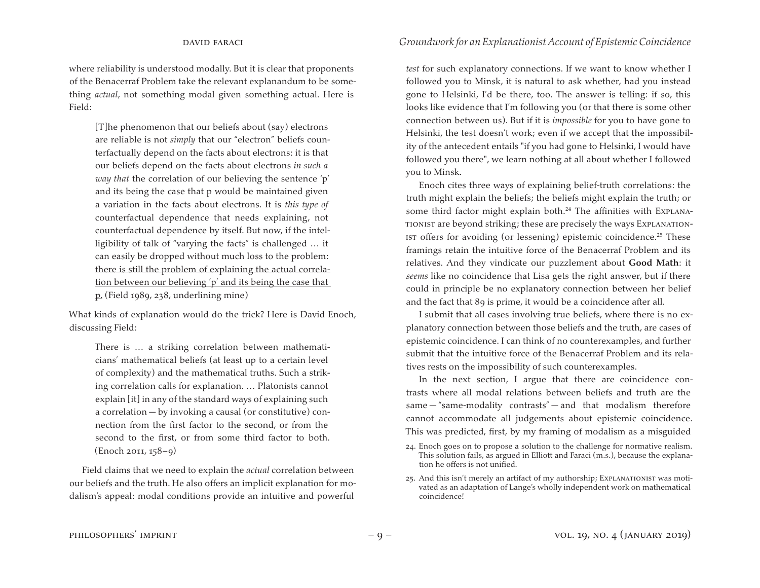where reliability is understood modally. But it is clear that proponents of the Benacerraf Problem take the relevant explanandum to be something *actual*, not something modal given something actual. Here is Field:

[T]he phenomenon that our beliefs about (say) electrons are reliable is not *simply* that our "electron" beliefs counterfactually depend on the facts about electrons: it is that our beliefs depend on the facts about electrons *in such a way that* the correlation of our believing the sentence 'p' and its being the case that p would be maintained given a variation in the facts about electrons. It is *this type of*  counterfactual dependence that needs explaining, not counterfactual dependence by itself. But now, if the intelligibility of talk of "varying the facts" is challenged … it can easily be dropped without much loss to the problem: there is still the problem of explaining the actual correlation between our believing 'p' and its being the case that p. (Field 1989, 238, underlining mine)

What kinds of explanation would do the trick? Here is David Enoch, discussing Field:

There is … a striking correlation between mathematicians' mathematical beliefs (at least up to a certain level of complexity) and the mathematical truths. Such a striking correlation calls for explanation. … Platonists cannot explain [it] in any of the standard ways of explaining such a correlation — by invoking a causal (or constitutive) connection from the first factor to the second, or from the second to the first, or from some third factor to both. (Enoch 2011, 158–9)

Field claims that we need to explain the *actual* correlation between our beliefs and the truth. He also offers an implicit explanation for modalism's appeal: modal conditions provide an intuitive and powerful

*test* for such explanatory connections. If we want to know whether I followed you to Minsk, it is natural to ask whether, had you instead gone to Helsinki, I'd be there, too. The answer is telling: if so, this looks like evidence that I'm following you (or that there is some other connection between us). But if it is *impossible* for you to have gone to Helsinki, the test doesn't work; even if we accept that the impossibility of the antecedent entails "if you had gone to Helsinki, I would have followed you there", we learn nothing at all about whether I followed you to Minsk.

Enoch cites three ways of explaining belief-truth correlations: the truth might explain the beliefs; the beliefs might explain the truth; or some third factor might explain both.<sup>24</sup> The affinities with Explanationist are beyond striking; these are precisely the ways Explanationist offers for avoiding (or lessening) epistemic coincidence.25 These framings retain the intuitive force of the Benacerraf Problem and its relatives. And they vindicate our puzzlement about **Good Math**: it *seems* like no coincidence that Lisa gets the right answer, but if there could in principle be no explanatory connection between her belief and the fact that 89 is prime, it would be a coincidence after all.

I submit that all cases involving true beliefs, where there is no explanatory connection between those beliefs and the truth, are cases of epistemic coincidence. I can think of no counterexamples, and further submit that the intuitive force of the Benacerraf Problem and its relatives rests on the impossibility of such counterexamples.

In the next section, I argue that there are coincidence contrasts where all modal relations between beliefs and truth are the  $same - "same-modality$  contrasts" — and that modalism therefore cannot accommodate all judgements about epistemic coincidence. This was predicted, first, by my framing of modalism as a misguided

25. And this isn't merely an artifact of my authorship; Explanationist was motivated as an adaptation of Lange's wholly independent work on mathematical coincidence!

<sup>24.</sup> Enoch goes on to propose a solution to the challenge for normative realism. This solution fails, as argued in Elliott and Faraci (m.s.), because the explanation he offers is not unified.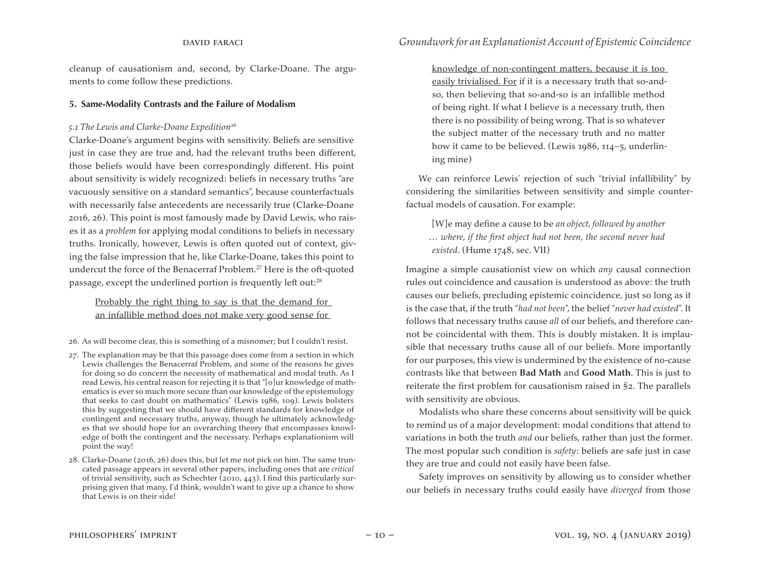cleanup of causationism and, second, by Clarke-Doane. The arguments to come follow these predictions.

#### **5. Same-Modality Contrasts and the Failure of Modalism**

#### *5.1 The Lewis and Clarke-Doane Expedition*<sup>26</sup>

Clarke-Doane's argument begins with sensitivity. Beliefs are sensitive just in case they are true and, had the relevant truths been different, those beliefs would have been correspondingly different. His point about sensitivity is widely recognized: beliefs in necessary truths "are vacuously sensitive on a standard semantics", because counterfactuals with necessarily false antecedents are necessarily true (Clarke-Doane 2016, 26). This point is most famously made by David Lewis, who raises it as a *problem* for applying modal conditions to beliefs in necessary truths. Ironically, however, Lewis is often quoted out of context, giving the false impression that he, like Clarke-Doane, takes this point to undercut the force of the Benacerraf Problem.<sup>27</sup> Here is the oft-quoted passage, except the underlined portion is frequently left out:28

Probably the right thing to say is that the demand for an infallible method does not make very good sense for

- 26. As will become clear, this is something of a misnomer; but I couldn't resist.
- 27. The explanation may be that this passage does come from a section in which Lewis challenges the Benacerraf Problem, and some of the reasons he gives for doing so do concern the necessity of mathematical and modal truth. As I read Lewis, his central reason for rejecting it is that "[o]ur knowledge of mathematics is ever so much more secure than our knowledge of the epistemology that seeks to cast doubt on mathematics" (Lewis 1986, 109). Lewis bolsters this by suggesting that we should have different standards for knowledge of contingent and necessary truths, anyway, though he ultimately acknowledges that we should hope for an overarching theory that encompasses knowledge of both the contingent and the necessary. Perhaps explanationism will point the way!
- 28. Clarke-Doane (2016, 26) does this, but let me not pick on him. The same truncated passage appears in several other papers, including ones that are *critical* of trivial sensitivity, such as Schechter (2010, 443). I find this particularly surprising given that many, I'd think, wouldn't want to give up a chance to show that Lewis is on their side!

knowledge of non-contingent matters, because it is too easily trivialised. For if it is a necessary truth that so-andso, then believing that so-and-so is an infallible method of being right. If what I believe is a necessary truth, then there is no possibility of being wrong. That is so whatever the subject matter of the necessary truth and no matter how it came to be believed. (Lewis 1986, 114–5, underlining mine)

We can reinforce Lewis' rejection of such "trivial infallibility" by considering the similarities between sensitivity and simple counterfactual models of causation. For example:

[W]e may define a cause to be *an object, followed by another … where, if the first object had not been, the second never had existed*. (Hume 1748, sec. VII)

Imagine a simple causationist view on which *any* causal connection rules out coincidence and causation is understood as above: the truth causes our beliefs, precluding epistemic coincidence, just so long as it is the case that, if the truth "*had not been*", the belief "*never had existed*". It follows that necessary truths cause *all* of our beliefs, and therefore cannot be coincidental with them. This is doubly mistaken. It is implausible that necessary truths cause all of our beliefs. More importantly for our purposes, this view is undermined by the existence of no-cause contrasts like that between **Bad Math** and **Good Math**. This is just to reiterate the first problem for causationism raised in §2. The parallels with sensitivity are obvious.

Modalists who share these concerns about sensitivity will be quick to remind us of a major development: modal conditions that attend to variations in both the truth *and* our beliefs, rather than just the former. The most popular such condition is *safety*: beliefs are safe just in case they are true and could not easily have been false.

Safety improves on sensitivity by allowing us to consider whether our beliefs in necessary truths could easily have *diverged* from those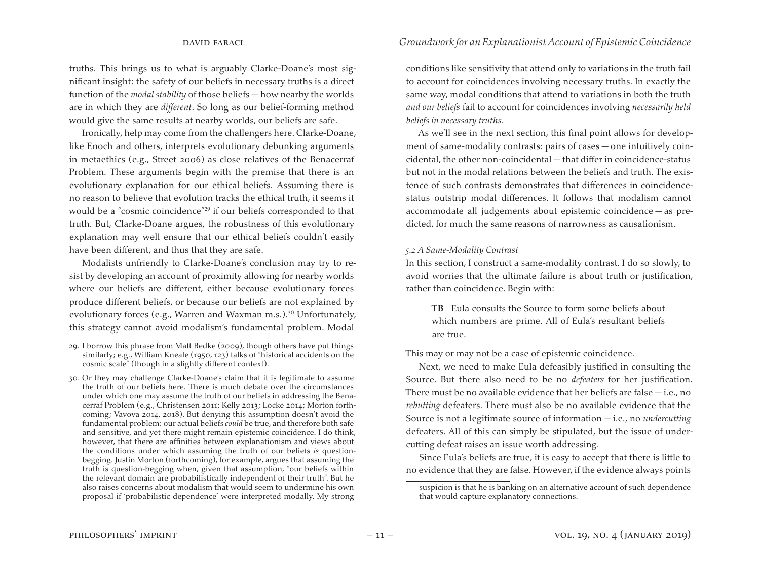truths. This brings us to what is arguably Clarke-Doane's most significant insight: the safety of our beliefs in necessary truths is a direct function of the *modal stability* of those beliefs — how nearby the worlds are in which they are *different*. So long as our belief-forming method would give the same results at nearby worlds, our beliefs are safe.

Ironically, help may come from the challengers here. Clarke-Doane, like Enoch and others, interprets evolutionary debunking arguments in metaethics (e.g., Street 2006) as close relatives of the Benacerraf Problem. These arguments begin with the premise that there is an evolutionary explanation for our ethical beliefs. Assuming there is no reason to believe that evolution tracks the ethical truth, it seems it would be a "cosmic coincidence"29 if our beliefs corresponded to that truth. But, Clarke-Doane argues, the robustness of this evolutionary explanation may well ensure that our ethical beliefs couldn't easily have been different, and thus that they are safe.

Modalists unfriendly to Clarke-Doane's conclusion may try to resist by developing an account of proximity allowing for nearby worlds where our beliefs are different, either because evolutionary forces produce different beliefs, or because our beliefs are not explained by evolutionary forces (e.g., Warren and Waxman m.s.).<sup>30</sup> Unfortunately, this strategy cannot avoid modalism's fundamental problem. Modal

- 29. I borrow this phrase from Matt Bedke (2009), though others have put things similarly; e.g., William Kneale (1950, 123) talks of "historical accidents on the cosmic scale" (though in a slightly different context).
- 30. Or they may challenge Clarke-Doane's claim that it is legitimate to assume the truth of our beliefs here. There is much debate over the circumstances under which one may assume the truth of our beliefs in addressing the Benacerraf Problem (e.g., Christensen 2011; Kelly 2013; Locke 2014; Morton forthcoming; Vavova 2014, 2018). But denying this assumption doesn't avoid the fundamental problem: our actual beliefs *could* be true, and therefore both safe and sensitive, and yet there might remain epistemic coincidence. I do think, however, that there are affinities between explanationism and views about the conditions under which assuming the truth of our beliefs *is* questionbegging. Justin Morton (forthcoming), for example, argues that assuming the truth is question-begging when, given that assumption, "our beliefs within the relevant domain are probabilistically independent of their truth". But he also raises concerns about modalism that would seem to undermine his own proposal if 'probabilistic dependence' were interpreted modally. My strong

conditions like sensitivity that attend only to variations in the truth fail to account for coincidences involving necessary truths. In exactly the same way, modal conditions that attend to variations in both the truth *and our beliefs* fail to account for coincidences involving *necessarily held beliefs in necessary truths*.

As we'll see in the next section, this final point allows for development of same-modality contrasts: pairs of cases — one intuitively coincidental, the other non-coincidental — that differ in coincidence-status but not in the modal relations between the beliefs and truth. The existence of such contrasts demonstrates that differences in coincidencestatus outstrip modal differences. It follows that modalism cannot accommodate all judgements about epistemic coincidence — as predicted, for much the same reasons of narrowness as causationism.

#### *5.2 A Same-Modality Contrast*

In this section, I construct a same-modality contrast. I do so slowly, to avoid worries that the ultimate failure is about truth or justification, rather than coincidence. Begin with:

**TB** Eula consults the Source to form some beliefs about which numbers are prime. All of Eula's resultant beliefs are true.

This may or may not be a case of epistemic coincidence.

Next, we need to make Eula defeasibly justified in consulting the Source. But there also need to be no *defeaters* for her justification. There must be no available evidence that her beliefs are false — i.e., no *rebutting* defeaters. There must also be no available evidence that the Source is not a legitimate source of information — i.e., no *undercutting*  defeaters. All of this can simply be stipulated, but the issue of undercutting defeat raises an issue worth addressing.

Since Eula's beliefs are true, it is easy to accept that there is little to no evidence that they are false. However, if the evidence always points

suspicion is that he is banking on an alternative account of such dependence that would capture explanatory connections.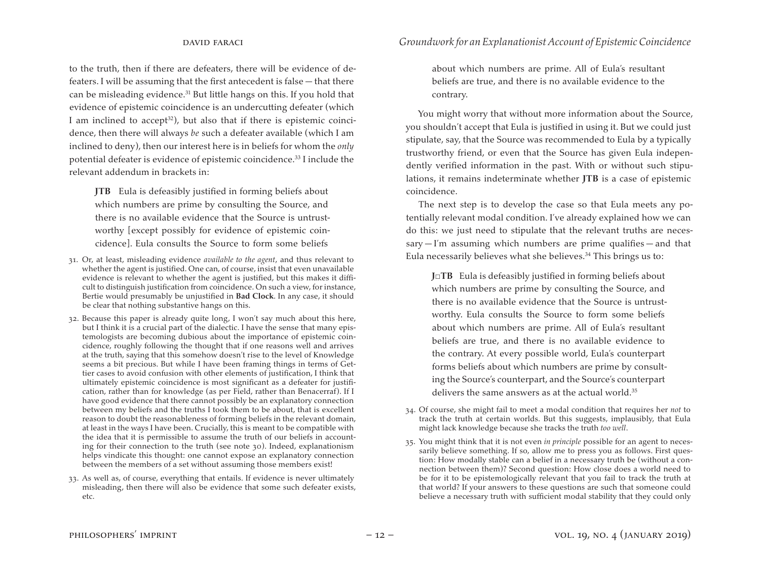to the truth, then if there are defeaters, there will be evidence of defeaters. I will be assuming that the first antecedent is false — that there can be misleading evidence.31 But little hangs on this. If you hold that evidence of epistemic coincidence is an undercutting defeater (which I am inclined to accept<sup>32</sup>), but also that if there is epistemic coincidence, then there will always *be* such a defeater available (which I am inclined to deny), then our interest here is in beliefs for whom the *only*  potential defeater is evidence of epistemic coincidence.33 I include the relevant addendum in brackets in:

**JTB** Eula is defeasibly justified in forming beliefs about which numbers are prime by consulting the Source, and there is no available evidence that the Source is untrustworthy [except possibly for evidence of epistemic coincidence]. Eula consults the Source to form some beliefs

- 31. Or, at least, misleading evidence *available to the agent*, and thus relevant to whether the agent is justified. One can, of course, insist that even unavailable evidence is relevant to whether the agent is justified, but this makes it difficult to distinguish justification from coincidence. On such a view, for instance, Bertie would presumably be unjustified in **Bad Clock**. In any case, it should be clear that nothing substantive hangs on this.
- 32. Because this paper is already quite long, I won't say much about this here, but I think it is a crucial part of the dialectic. I have the sense that many epistemologists are becoming dubious about the importance of epistemic coincidence, roughly following the thought that if one reasons well and arrives at the truth, saying that this somehow doesn't rise to the level of Knowledge seems a bit precious. But while I have been framing things in terms of Gettier cases to avoid confusion with other elements of justification, I think that ultimately epistemic coincidence is most significant as a defeater for justification, rather than for knowledge (as per Field, rather than Benacerraf). If I have good evidence that there cannot possibly be an explanatory connection between my beliefs and the truths I took them to be about, that is excellent reason to doubt the reasonableness of forming beliefs in the relevant domain, at least in the ways I have been. Crucially, this is meant to be compatible with the idea that it is permissible to assume the truth of our beliefs in accounting for their connection to the truth (see note 30). Indeed, explanationism helps vindicate this thought: one cannot expose an explanatory connection between the members of a set without assuming those members exist!
- 33. As well as, of course, everything that entails. If evidence is never ultimately misleading, then there will also be evidence that some such defeater exists, etc.

about which numbers are prime. All of Eula's resultant beliefs are true, and there is no available evidence to the contrary.

You might worry that without more information about the Source, you shouldn't accept that Eula is justified in using it. But we could just stipulate, say, that the Source was recommended to Eula by a typically trustworthy friend, or even that the Source has given Eula independently verified information in the past. With or without such stipulations, it remains indeterminate whether **JTB** is a case of epistemic coincidence.

The next step is to develop the case so that Eula meets any potentially relevant modal condition. I've already explained how we can do this: we just need to stipulate that the relevant truths are neces $sary-I'm$  assuming which numbers are prime qualifies — and that Eula necessarily believes what she believes.34 This brings us to:

**J□TB** Eula is defeasibly justified in forming beliefs about which numbers are prime by consulting the Source, and there is no available evidence that the Source is untrustworthy. Eula consults the Source to form some beliefs about which numbers are prime. All of Eula's resultant beliefs are true, and there is no available evidence to the contrary. At every possible world, Eula's counterpart forms beliefs about which numbers are prime by consulting the Source's counterpart, and the Source's counterpart delivers the same answers as at the actual world.<sup>35</sup>

- 34. Of course, she might fail to meet a modal condition that requires her *not* to track the truth at certain worlds. But this suggests, implausibly, that Eula might lack knowledge because she tracks the truth *too well*.
- 35. You might think that it is not even *in principle* possible for an agent to necessarily believe something. If so, allow me to press you as follows. First question: How modally stable can a belief in a necessary truth be (without a connection between them)? Second question: How close does a world need to be for it to be epistemologically relevant that you fail to track the truth at that world? If your answers to these questions are such that someone could believe a necessary truth with sufficient modal stability that they could only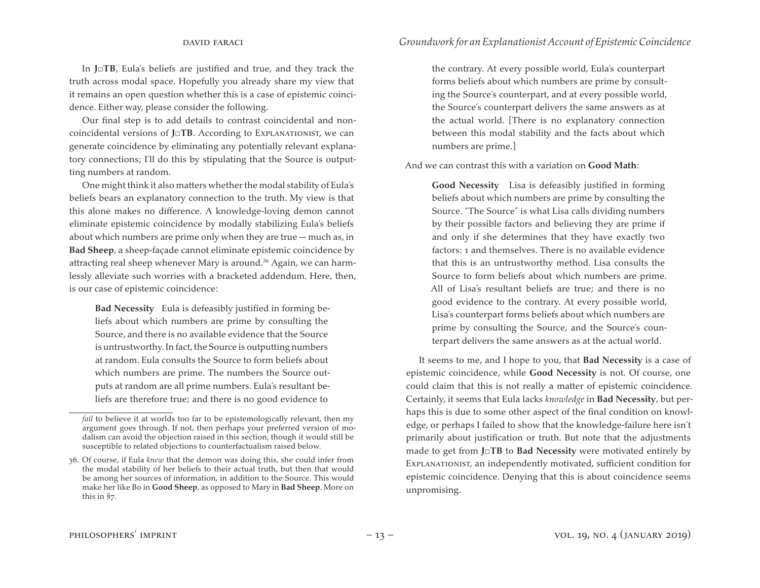In **J□TB**, Eula's beliefs are justified and true, and they track the truth across modal space. Hopefully you already share my view that it remains an open question whether this is a case of epistemic coincidence. Either way, please consider the following.

Our final step is to add details to contrast coincidental and noncoincidental versions of **J□TB**. According to Explanationist, we can generate coincidence by eliminating any potentially relevant explanatory connections; I'll do this by stipulating that the Source is outputting numbers at random.

One might think it also matters whether the modal stability of Eula's beliefs bears an explanatory connection to the truth. My view is that this alone makes no difference. A knowledge-loving demon cannot eliminate epistemic coincidence by modally stabilizing Eula's beliefs about which numbers are prime only when they are true — much as, in **Bad Sheep**, a sheep-façade cannot eliminate epistemic coincidence by attracting real sheep whenever Mary is around.<sup>36</sup> Again, we can harmlessly alleviate such worries with a bracketed addendum. Here, then, is our case of epistemic coincidence:

**Bad Necessity** Eula is defeasibly justified in forming beliefs about which numbers are prime by consulting the Source, and there is no available evidence that the Source is untrustworthy. In fact, the Source is outputting numbers at random. Eula consults the Source to form beliefs about which numbers are prime. The numbers the Source outputs at random are all prime numbers. Eula's resultant beliefs are therefore true; and there is no good evidence to

the contrary. At every possible world, Eula's counterpart forms beliefs about which numbers are prime by consulting the Source's counterpart, and at every possible world, the Source's counterpart delivers the same answers as at the actual world. [There is no explanatory connection between this modal stability and the facts about which numbers are prime.]

And we can contrast this with a variation on **Good Math**:

**Good Necessity** Lisa is defeasibly justified in forming beliefs about which numbers are prime by consulting the Source. "The Source" is what Lisa calls dividing numbers by their possible factors and believing they are prime if and only if she determines that they have exactly two factors: 1 and themselves. There is no available evidence that this is an untrustworthy method. Lisa consults the Source to form beliefs about which numbers are prime. All of Lisa's resultant beliefs are true; and there is no good evidence to the contrary. At every possible world, Lisa's counterpart forms beliefs about which numbers are prime by consulting the Source, and the Source's counterpart delivers the same answers as at the actual world.

It seems to me, and I hope to you, that **Bad Necessity** is a case of epistemic coincidence, while **Good Necessity** is not. Of course, one could claim that this is not really a matter of epistemic coincidence. Certainly, it seems that Eula lacks *knowledge* in **Bad Necessity**, but perhaps this is due to some other aspect of the final condition on knowledge, or perhaps I failed to show that the knowledge-failure here isn't primarily about justification or truth. But note that the adjustments made to get from **J□TB** to **Bad Necessity** were motivated entirely by Explanationist, an independently motivated, sufficient condition for epistemic coincidence. Denying that this is about coincidence seems unpromising.

*fail* to believe it at worlds too far to be epistemologically relevant, then my argument goes through. If not, then perhaps your preferred version of modalism can avoid the objection raised in this section, though it would still be susceptible to related objections to counterfactualism raised below.

<sup>36.</sup> Of course, if Eula *knew* that the demon was doing this, she could infer from the modal stability of her beliefs to their actual truth, but then that would be among her sources of information, in addition to the Source. This would make her like Bo in **Good Sheep**, as opposed to Mary in **Bad Sheep**. More on this in §7.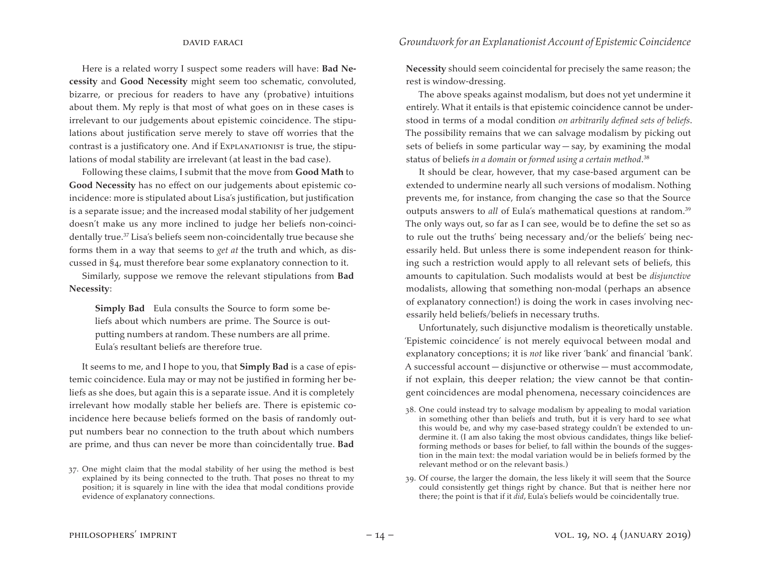Here is a related worry I suspect some readers will have: **Bad Necessity** and **Good Necessity** might seem too schematic, convoluted, bizarre, or precious for readers to have any (probative) intuitions about them. My reply is that most of what goes on in these cases is irrelevant to our judgements about epistemic coincidence. The stipulations about justification serve merely to stave off worries that the contrast is a justificatory one. And if Explanationist is true, the stipulations of modal stability are irrelevant (at least in the bad case).

Following these claims, I submit that the move from **Good Math** to **Good Necessity** has no effect on our judgements about epistemic coincidence: more is stipulated about Lisa's justification, but justification is a separate issue; and the increased modal stability of her judgement doesn't make us any more inclined to judge her beliefs non-coincidentally true.37 Lisa's beliefs seem non-coincidentally true because she forms them in a way that seems to *get at* the truth and which, as discussed in §4, must therefore bear some explanatory connection to it.

Similarly, suppose we remove the relevant stipulations from **Bad Necessity**:

**Simply Bad** Eula consults the Source to form some beliefs about which numbers are prime. The Source is outputting numbers at random. These numbers are all prime. Eula's resultant beliefs are therefore true.

It seems to me, and I hope to you, that **Simply Bad** is a case of epistemic coincidence. Eula may or may not be justified in forming her beliefs as she does, but again this is a separate issue. And it is completely irrelevant how modally stable her beliefs are. There is epistemic coincidence here because beliefs formed on the basis of randomly output numbers bear no connection to the truth about which numbers are prime, and thus can never be more than coincidentally true. **Bad** 

**Necessity** should seem coincidental for precisely the same reason; the rest is window-dressing.

The above speaks against modalism, but does not yet undermine it entirely. What it entails is that epistemic coincidence cannot be understood in terms of a modal condition *on arbitrarily defined sets of beliefs*. The possibility remains that we can salvage modalism by picking out sets of beliefs in some particular way  $-$  say, by examining the modal status of beliefs *in a domain* or *formed using a certain method*. 38

It should be clear, however, that my case-based argument can be extended to undermine nearly all such versions of modalism. Nothing prevents me, for instance, from changing the case so that the Source outputs answers to *all* of Eula's mathematical questions at random.<sup>39</sup> The only ways out, so far as I can see, would be to define the set so as to rule out the truths' being necessary and/or the beliefs' being necessarily held. But unless there is some independent reason for thinking such a restriction would apply to all relevant sets of beliefs, this amounts to capitulation. Such modalists would at best be *disjunctive* modalists, allowing that something non-modal (perhaps an absence of explanatory connection!) is doing the work in cases involving necessarily held beliefs/beliefs in necessary truths.

Unfortunately, such disjunctive modalism is theoretically unstable. 'Epistemic coincidence' is not merely equivocal between modal and explanatory conceptions; it is *not* like river 'bank' and financial 'bank'. A successful account — disjunctive or otherwise — must accommodate, if not explain, this deeper relation; the view cannot be that contingent coincidences are modal phenomena, necessary coincidences are

- 38. One could instead try to salvage modalism by appealing to modal variation in something other than beliefs and truth, but it is very hard to see what this would be, and why my case-based strategy couldn't be extended to undermine it. (I am also taking the most obvious candidates, things like beliefforming methods or bases for belief, to fall within the bounds of the suggestion in the main text: the modal variation would be in beliefs formed by the relevant method or on the relevant basis.)
- 39. Of course, the larger the domain, the less likely it will seem that the Source could consistently get things right by chance. But that is neither here nor there; the point is that if it *did*, Eula's beliefs would be coincidentally true.

<sup>37.</sup> One might claim that the modal stability of her using the method is best explained by its being connected to the truth. That poses no threat to my position; it is squarely in line with the idea that modal conditions provide evidence of explanatory connections.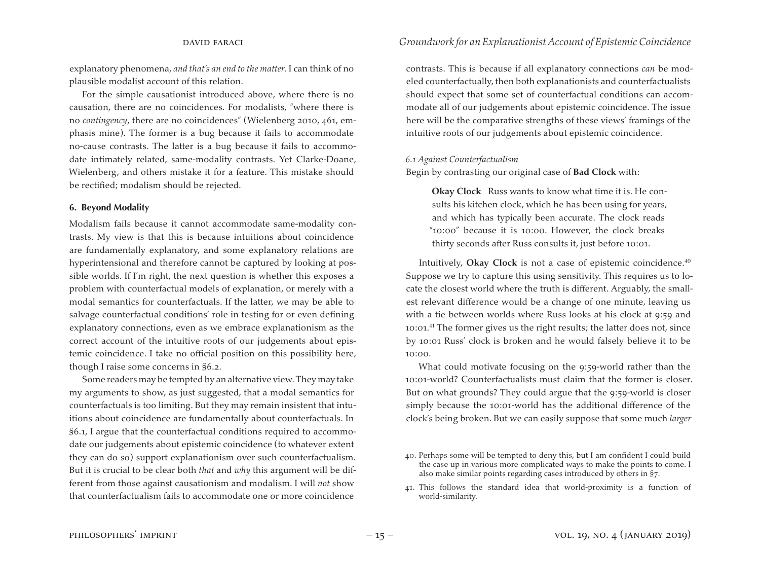explanatory phenomena, *and that's an end to the matter*. I can think of no plausible modalist account of this relation.

For the simple causationist introduced above, where there is no causation, there are no coincidences. For modalists, "where there is no *contingency*, there are no coincidences" (Wielenberg 2010, 461, emphasis mine). The former is a bug because it fails to accommodate no-cause contrasts. The latter is a bug because it fails to accommodate intimately related, same-modality contrasts. Yet Clarke-Doane, Wielenberg, and others mistake it for a feature. This mistake should be rectified; modalism should be rejected.

#### **6. Beyond Modality**

Modalism fails because it cannot accommodate same-modality contrasts. My view is that this is because intuitions about coincidence are fundamentally explanatory, and some explanatory relations are hyperintensional and therefore cannot be captured by looking at possible worlds. If I'm right, the next question is whether this exposes a problem with counterfactual models of explanation, or merely with a modal semantics for counterfactuals. If the latter, we may be able to salvage counterfactual conditions' role in testing for or even defining explanatory connections, even as we embrace explanationism as the correct account of the intuitive roots of our judgements about epistemic coincidence. I take no official position on this possibility here, though I raise some concerns in §6.2.

Some readers may be tempted by an alternative view.They may take my arguments to show, as just suggested, that a modal semantics for counterfactuals is too limiting. But they may remain insistent that intuitions about coincidence are fundamentally about counterfactuals. In §6.1, I argue that the counterfactual conditions required to accommodate our judgements about epistemic coincidence (to whatever extent they can do so) support explanationism over such counterfactualism. But it is crucial to be clear both *that* and *why* this argument will be different from those against causationism and modalism. I will *not* show that counterfactualism fails to accommodate one or more coincidence

contrasts. This is because if all explanatory connections *can* be modeled counterfactually, then both explanationists and counterfactualists should expect that some set of counterfactual conditions can accommodate all of our judgements about epistemic coincidence. The issue here will be the comparative strengths of these views' framings of the intuitive roots of our judgements about epistemic coincidence.

#### *6.1 Against Counterfactualism*

Begin by contrasting our original case of **Bad Clock** with:

**Okay Clock** Russ wants to know what time it is. He consults his kitchen clock, which he has been using for years, and which has typically been accurate. The clock reads "10:00" because it is 10:00. However, the clock breaks thirty seconds after Russ consults it, just before 10:01.

Intuitively, Okay Clock is not a case of epistemic coincidence.<sup>40</sup> Suppose we try to capture this using sensitivity. This requires us to locate the closest world where the truth is different. Arguably, the smallest relevant difference would be a change of one minute, leaving us with a tie between worlds where Russ looks at his clock at 9:59 and 10:01.41 The former gives us the right results; the latter does not, since by 10:01 Russ' clock is broken and he would falsely believe it to be 10:00.

What could motivate focusing on the 9:59-world rather than the 10:01-world? Counterfactualists must claim that the former is closer. But on what grounds? They could argue that the 9:59-world is closer simply because the 10:01-world has the additional difference of the clock's being broken. But we can easily suppose that some much *larger* 

<sup>40.</sup> Perhaps some will be tempted to deny this, but I am confident I could build the case up in various more complicated ways to make the points to come. I also make similar points regarding cases introduced by others in §7.

<sup>41.</sup> This follows the standard idea that world-proximity is a function of world-similarity.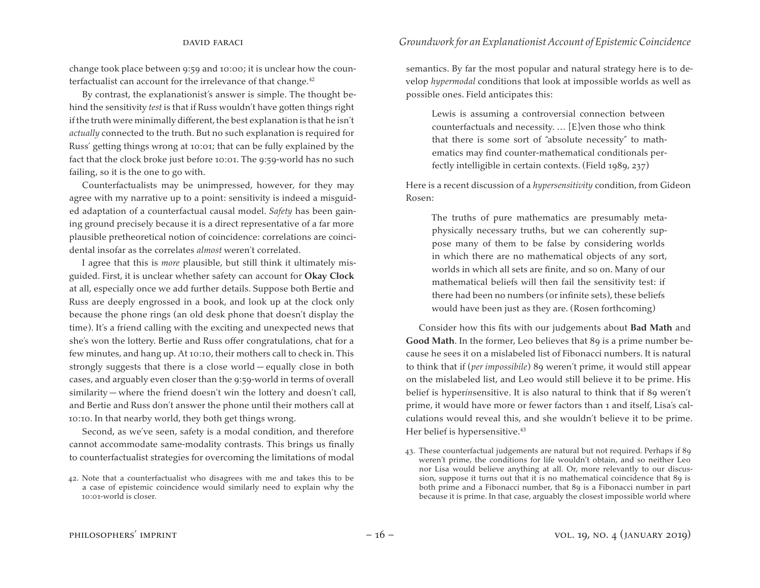change took place between 9:59 and 10:00; it is unclear how the counterfactualist can account for the irrelevance of that change.<sup>42</sup>

By contrast, the explanationist's answer is simple. The thought behind the sensitivity *test* is that if Russ wouldn't have gotten things right if the truth were minimally different, the best explanation is that he isn't *actually* connected to the truth. But no such explanation is required for Russ' getting things wrong at 10:01; that can be fully explained by the fact that the clock broke just before 10:01. The 9:59-world has no such failing, so it is the one to go with.

Counterfactualists may be unimpressed, however, for they may agree with my narrative up to a point: sensitivity is indeed a misguided adaptation of a counterfactual causal model. *Safety* has been gaining ground precisely because it is a direct representative of a far more plausible pretheoretical notion of coincidence: correlations are coincidental insofar as the correlates *almost* weren't correlated.

I agree that this is *more* plausible, but still think it ultimately misguided. First, it is unclear whether safety can account for **Okay Clock** at all, especially once we add further details. Suppose both Bertie and Russ are deeply engrossed in a book, and look up at the clock only because the phone rings (an old desk phone that doesn't display the time). It's a friend calling with the exciting and unexpected news that she's won the lottery. Bertie and Russ offer congratulations, chat for a few minutes, and hang up. At 10:10, their mothers call to check in. This strongly suggests that there is a close world — equally close in both cases, and arguably even closer than the 9:59-world in terms of overall similarity — where the friend doesn't win the lottery and doesn't call, and Bertie and Russ don't answer the phone until their mothers call at 10:10. In that nearby world, they both get things wrong.

Second, as we've seen, safety is a modal condition, and therefore cannot accommodate same-modality contrasts. This brings us finally to counterfactualist strategies for overcoming the limitations of modal

#### david faraci *Groundwork for an Explanationist Account of Epistemic Coincidence*

semantics. By far the most popular and natural strategy here is to develop *hypermodal* conditions that look at impossible worlds as well as possible ones. Field anticipates this:

Lewis is assuming a controversial connection between counterfactuals and necessity. … [E]ven those who think that there is some sort of "absolute necessity" to mathematics may find counter-mathematical conditionals perfectly intelligible in certain contexts. (Field 1989, 237)

Here is a recent discussion of a *hypersensitivity* condition, from Gideon Rosen:

The truths of pure mathematics are presumably metaphysically necessary truths, but we can coherently suppose many of them to be false by considering worlds in which there are no mathematical objects of any sort, worlds in which all sets are finite, and so on. Many of our mathematical beliefs will then fail the sensitivity test: if there had been no numbers (or infinite sets), these beliefs would have been just as they are. (Rosen forthcoming)

Consider how this fits with our judgements about **Bad Math** and **Good Math**. In the former, Leo believes that 89 is a prime number because he sees it on a mislabeled list of Fibonacci numbers. It is natural to think that if (*per impossibile*) 89 weren't prime, it would still appear on the mislabeled list, and Leo would still believe it to be prime. His belief is hyper*in*sensitive. It is also natural to think that if 89 weren't prime, it would have more or fewer factors than 1 and itself, Lisa's calculations would reveal this, and she wouldn't believe it to be prime. Her belief is hypersensitive.<sup>43</sup>

<sup>42.</sup> Note that a counterfactualist who disagrees with me and takes this to be a case of epistemic coincidence would similarly need to explain why the 10:01-world is closer.

<sup>43.</sup> These counterfactual judgements are natural but not required. Perhaps if 89 weren't prime, the conditions for life wouldn't obtain, and so neither Leo nor Lisa would believe anything at all. Or, more relevantly to our discussion, suppose it turns out that it is no mathematical coincidence that 89 is both prime and a Fibonacci number, that 89 is a Fibonacci number in part because it is prime. In that case, arguably the closest impossible world where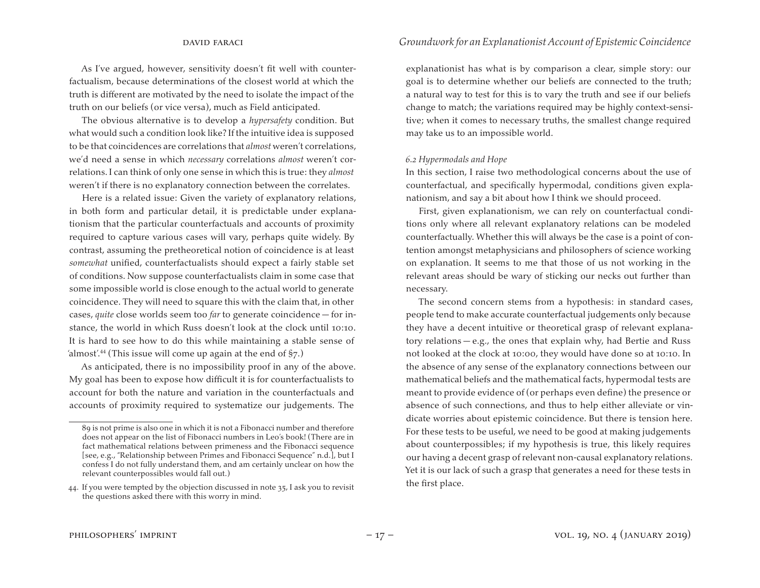As I've argued, however, sensitivity doesn't fit well with counterfactualism, because determinations of the closest world at which the truth is different are motivated by the need to isolate the impact of the truth on our beliefs (or vice versa), much as Field anticipated.

The obvious alternative is to develop a *hypersafety* condition. But what would such a condition look like? If the intuitive idea is supposed to be that coincidences are correlations that *almost* weren't correlations, we'd need a sense in which *necessary* correlations *almost* weren't correlations. I can think of only one sense in which this is true: they *almost* weren't if there is no explanatory connection between the correlates.

Here is a related issue: Given the variety of explanatory relations, in both form and particular detail, it is predictable under explanationism that the particular counterfactuals and accounts of proximity required to capture various cases will vary, perhaps quite widely. By contrast, assuming the pretheoretical notion of coincidence is at least *somewhat* unified, counterfactualists should expect a fairly stable set of conditions. Now suppose counterfactualists claim in some case that some impossible world is close enough to the actual world to generate coincidence. They will need to square this with the claim that, in other cases, *quite* close worlds seem too *far* to generate coincidence — for instance, the world in which Russ doesn't look at the clock until 10:10. It is hard to see how to do this while maintaining a stable sense of 'almost'.<sup>44</sup> (This issue will come up again at the end of  $\S$ 7.)

As anticipated, there is no impossibility proof in any of the above. My goal has been to expose how difficult it is for counterfactualists to account for both the nature and variation in the counterfactuals and accounts of proximity required to systematize our judgements. The

explanationist has what is by comparison a clear, simple story: our goal is to determine whether our beliefs are connected to the truth; a natural way to test for this is to vary the truth and see if our beliefs change to match; the variations required may be highly context-sensitive; when it comes to necessary truths, the smallest change required may take us to an impossible world.

#### *6.2 Hypermodals and Hope*

In this section, I raise two methodological concerns about the use of counterfactual, and specifically hypermodal, conditions given explanationism, and say a bit about how I think we should proceed.

First, given explanationism, we can rely on counterfactual conditions only where all relevant explanatory relations can be modeled counterfactually. Whether this will always be the case is a point of contention amongst metaphysicians and philosophers of science working on explanation. It seems to me that those of us not working in the relevant areas should be wary of sticking our necks out further than necessary.

The second concern stems from a hypothesis: in standard cases, people tend to make accurate counterfactual judgements only because they have a decent intuitive or theoretical grasp of relevant explanatory relations — e.g., the ones that explain why, had Bertie and Russ not looked at the clock at 10:00, they would have done so at 10:10. In the absence of any sense of the explanatory connections between our mathematical beliefs and the mathematical facts, hypermodal tests are meant to provide evidence of (or perhaps even define) the presence or absence of such connections, and thus to help either alleviate or vindicate worries about epistemic coincidence. But there is tension here. For these tests to be useful, we need to be good at making judgements about counterpossibles; if my hypothesis is true, this likely requires our having a decent grasp of relevant non-causal explanatory relations. Yet it is our lack of such a grasp that generates a need for these tests in the first place.

<sup>89</sup> is not prime is also one in which it is not a Fibonacci number and therefore does not appear on the list of Fibonacci numbers in Leo's book! (There are in fact mathematical relations between primeness and the Fibonacci sequence [see, e.g., "Relationship between Primes and Fibonacci Sequence" n.d.], but I confess I do not fully understand them, and am certainly unclear on how the relevant counterpossibles would fall out.)

<sup>44.</sup> If you were tempted by the objection discussed in note 35, I ask you to revisit the questions asked there with this worry in mind.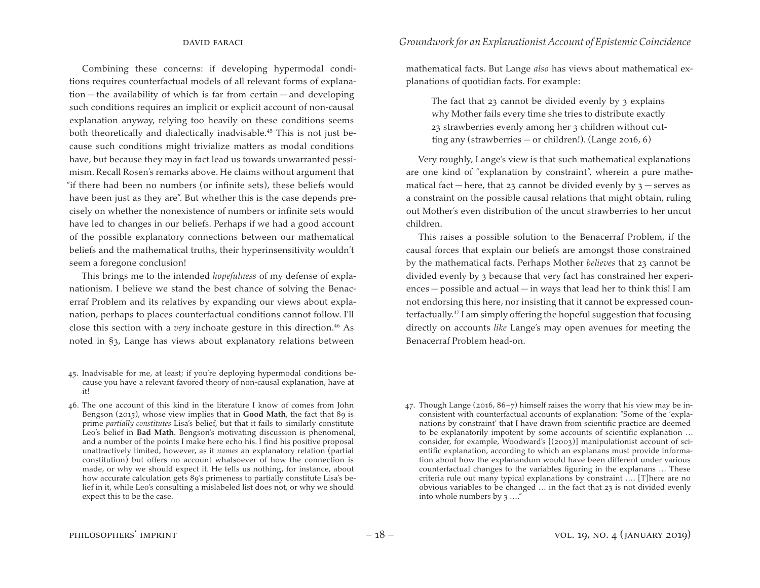Combining these concerns: if developing hypermodal conditions requires counterfactual models of all relevant forms of explanation — the availability of which is far from certain — and developing such conditions requires an implicit or explicit account of non-causal explanation anyway, relying too heavily on these conditions seems both theoretically and dialectically inadvisable.<sup>45</sup> This is not just because such conditions might trivialize matters as modal conditions have, but because they may in fact lead us towards unwarranted pessimism. Recall Rosen's remarks above. He claims without argument that "if there had been no numbers (or infinite sets), these beliefs would have been just as they are". But whether this is the case depends precisely on whether the nonexistence of numbers or infinite sets would have led to changes in our beliefs. Perhaps if we had a good account of the possible explanatory connections between our mathematical beliefs and the mathematical truths, their hyperinsensitivity wouldn't seem a foregone conclusion!

This brings me to the intended *hopefulness* of my defense of explanationism. I believe we stand the best chance of solving the Benacerraf Problem and its relatives by expanding our views about explanation, perhaps to places counterfactual conditions cannot follow. I'll close this section with a *very* inchoate gesture in this direction.<sup>46</sup> As noted in §3, Lange has views about explanatory relations between

- 45. Inadvisable for me, at least; if you're deploying hypermodal conditions because you have a relevant favored theory of non-causal explanation, have at it!
- 46. The one account of this kind in the literature I know of comes from John Bengson (2015), whose view implies that in **Good Math**, the fact that 89 is prime *partially constitutes* Lisa's belief, but that it fails to similarly constitute Leo's belief in **Bad Math**. Bengson's motivating discussion is phenomenal, and a number of the points I make here echo his. I find his positive proposal unattractively limited, however, as it *names* an explanatory relation (partial constitution) but offers no account whatsoever of how the connection is made, or why we should expect it. He tells us nothing, for instance, about how accurate calculation gets 89's primeness to partially constitute Lisa's belief in it, while Leo's consulting a mislabeled list does not, or why we should expect this to be the case.

mathematical facts. But Lange *also* has views about mathematical explanations of quotidian facts. For example:

The fact that 23 cannot be divided evenly by 3 explains why Mother fails every time she tries to distribute exactly 23 strawberries evenly among her 3 children without cutting any (strawberries — or children!). (Lange 2016, 6)

Very roughly, Lange's view is that such mathematical explanations are one kind of "explanation by constraint", wherein a pure mathematical fact — here, that 23 cannot be divided evenly by  $3$  — serves as a constraint on the possible causal relations that might obtain, ruling out Mother's even distribution of the uncut strawberries to her uncut children.

This raises a possible solution to the Benacerraf Problem, if the causal forces that explain our beliefs are amongst those constrained by the mathematical facts. Perhaps Mother *believes* that 23 cannot be divided evenly by 3 because that very fact has constrained her experiences — possible and actual — in ways that lead her to think this! I am not endorsing this here, nor insisting that it cannot be expressed counterfactually.47 I am simply offering the hopeful suggestion that focusing directly on accounts *like* Lange's may open avenues for meeting the Benacerraf Problem head-on.

<sup>47.</sup> Though Lange (2016,  $86 - 7$ ) himself raises the worry that his view may be inconsistent with counterfactual accounts of explanation: "Some of the 'explanations by constraint' that I have drawn from scientific practice are deemed to be explanatorily impotent by some accounts of scientific explanation … consider, for example, Woodward's [(2003)] manipulationist account of scientific explanation, according to which an explanans must provide information about how the explanandum would have been different under various counterfactual changes to the variables figuring in the explanans … These criteria rule out many typical explanations by constraint …. [T]here are no obvious variables to be changed … in the fact that 23 is not divided evenly into whole numbers by 3 …."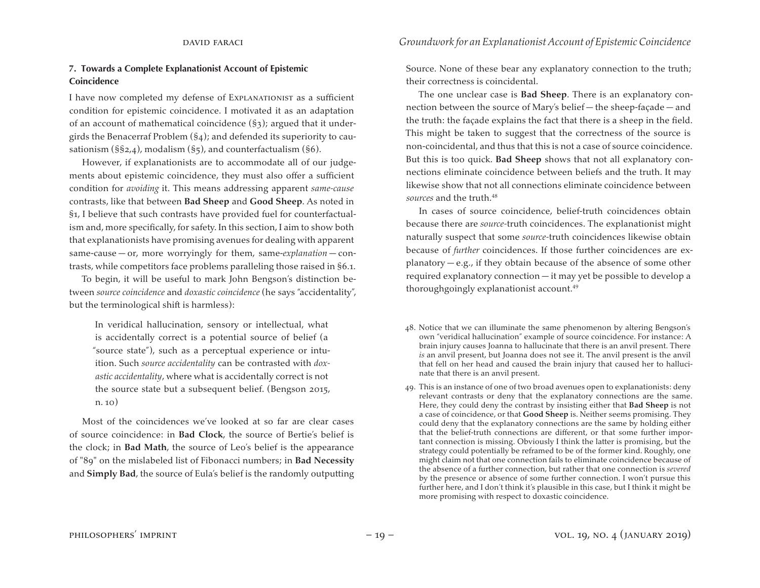### **7. Towards a Complete Explanationist Account of Epistemic Coincidence**

I have now completed my defense of Explanationist as a sufficient condition for epistemic coincidence. I motivated it as an adaptation of an account of mathematical coincidence (§3); argued that it undergirds the Benacerraf Problem (§4); and defended its superiority to causationism ( $\S$ §2,4), modalism ( $\S$ 5), and counterfactualism ( $\S$ 6).

However, if explanationists are to accommodate all of our judgements about epistemic coincidence, they must also offer a sufficient condition for *avoiding* it. This means addressing apparent *same-cause* contrasts, like that between **Bad Sheep** and **Good Sheep**. As noted in §1, I believe that such contrasts have provided fuel for counterfactualism and, more specifically, for safety. In this section, I aim to show both that explanationists have promising avenues for dealing with apparent same-cause — or, more worryingly for them, same-*explanation* — contrasts, while competitors face problems paralleling those raised in §6.1.

To begin, it will be useful to mark John Bengson's distinction between *source coincidence* and *doxastic coincidence* (he says "accidentality", but the terminological shift is harmless):

In veridical hallucination, sensory or intellectual, what is accidentally correct is a potential source of belief (a "source state"), such as a perceptual experience or intuition. Such *source accidentality* can be contrasted with *doxastic accidentality*, where what is accidentally correct is not the source state but a subsequent belief. (Bengson 2015, n. 10)

Most of the coincidences we've looked at so far are clear cases of source coincidence: in **Bad Clock**, the source of Bertie's belief is the clock; in **Bad Math**, the source of Leo's belief is the appearance of "89" on the mislabeled list of Fibonacci numbers; in **Bad Necessity** and **Simply Bad**, the source of Eula's belief is the randomly outputting Source. None of these bear any explanatory connection to the truth; their correctness is coincidental.

The one unclear case is **Bad Sheep**. There is an explanatory connection between the source of Mary's belief — the sheep-façade — and the truth: the façade explains the fact that there is a sheep in the field. This might be taken to suggest that the correctness of the source is non-coincidental, and thus that this is not a case of source coincidence. But this is too quick. **Bad Sheep** shows that not all explanatory connections eliminate coincidence between beliefs and the truth. It may likewise show that not all connections eliminate coincidence between *sources* and the truth.48

In cases of source coincidence, belief-truth coincidences obtain because there are *source-*truth coincidences. The explanationist might naturally suspect that some *source-*truth coincidences likewise obtain because of *further* coincidences. If those further coincidences are ex $planatory - e.g.,$  if they obtain because of the absence of some other required explanatory connection — it may yet be possible to develop a thoroughgoingly explanationist account.49

- 48. Notice that we can illuminate the same phenomenon by altering Bengson's own "veridical hallucination" example of source coincidence. For instance: A brain injury causes Joanna to hallucinate that there is an anvil present. There *is* an anvil present, but Joanna does not see it. The anvil present is the anvil that fell on her head and caused the brain injury that caused her to hallucinate that there is an anvil present.
- 49. This is an instance of one of two broad avenues open to explanationists: deny relevant contrasts or deny that the explanatory connections are the same. Here, they could deny the contrast by insisting either that **Bad Sheep** is not a case of coincidence, or that **Good Sheep** is. Neither seems promising. They could deny that the explanatory connections are the same by holding either that the belief-truth connections are different, or that some further important connection is missing. Obviously I think the latter is promising, but the strategy could potentially be reframed to be of the former kind. Roughly, one might claim not that one connection fails to eliminate coincidence because of the absence of a further connection, but rather that one connection is *severed* by the presence or absence of some further connection. I won't pursue this further here, and I don't think it's plausible in this case, but I think it might be more promising with respect to doxastic coincidence.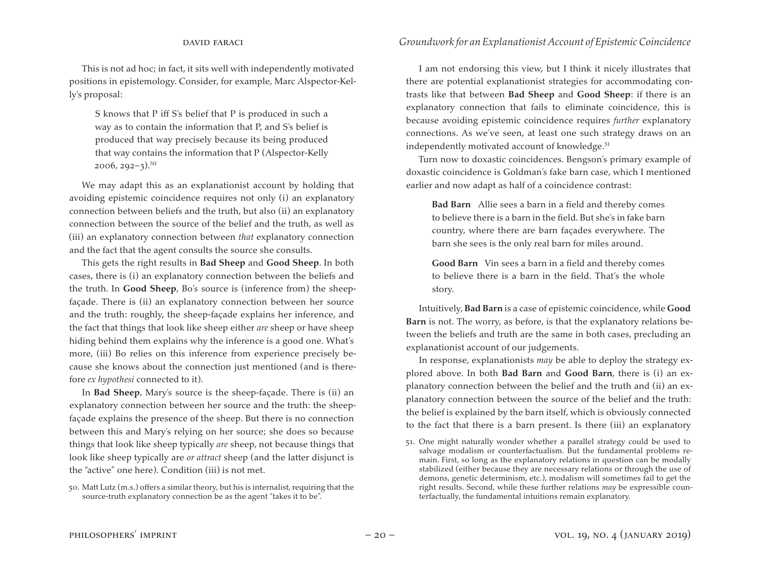This is not ad hoc; in fact, it sits well with independently motivated positions in epistemology. Consider, for example, Marc Alspector-Kelly's proposal:

S knows that P iff S's belief that P is produced in such a way as to contain the information that P, and S's belief is produced that way precisely because its being produced that way contains the information that P (Alspector-Kelly  $2006, 292 - 3$ <sup>50</sup>

We may adapt this as an explanationist account by holding that avoiding epistemic coincidence requires not only (i) an explanatory connection between beliefs and the truth, but also (ii) an explanatory connection between the source of the belief and the truth, as well as (iii) an explanatory connection between *that* explanatory connection and the fact that the agent consults the source she consults.

This gets the right results in **Bad Sheep** and **Good Sheep**. In both cases, there is (i) an explanatory connection between the beliefs and the truth. In **Good Sheep**, Bo's source is (inference from) the sheepfaçade. There is (ii) an explanatory connection between her source and the truth: roughly, the sheep-façade explains her inference, and the fact that things that look like sheep either *are* sheep or have sheep hiding behind them explains why the inference is a good one. What's more, (iii) Bo relies on this inference from experience precisely because she knows about the connection just mentioned (and is therefore *ex hypothesi* connected to it).

In **Bad Sheep**, Mary's source is the sheep-façade. There is (ii) an explanatory connection between her source and the truth: the sheepfaçade explains the presence of the sheep. But there is no connection between this and Mary's relying on her source; she does so because things that look like sheep typically *are* sheep, not because things that look like sheep typically are *or attract* sheep (and the latter disjunct is the "active" one here). Condition (iii) is not met.

#### david faraci *Groundwork for an Explanationist Account of Epistemic Coincidence*

I am not endorsing this view, but I think it nicely illustrates that there are potential explanationist strategies for accommodating contrasts like that between **Bad Sheep** and **Good Sheep**: if there is an explanatory connection that fails to eliminate coincidence, this is because avoiding epistemic coincidence requires *further* explanatory connections. As we've seen, at least one such strategy draws on an independently motivated account of knowledge.<sup>51</sup>

Turn now to doxastic coincidences. Bengson's primary example of doxastic coincidence is Goldman's fake barn case, which I mentioned earlier and now adapt as half of a coincidence contrast:

**Bad Barn** Allie sees a barn in a field and thereby comes to believe there is a barn in the field. But she's in fake barn country, where there are barn façades everywhere. The barn she sees is the only real barn for miles around.

**Good Barn** Vin sees a barn in a field and thereby comes to believe there is a barn in the field. That's the whole story.

Intuitively,**Bad Barn** is a case of epistemic coincidence, while **Good Barn** is not. The worry, as before, is that the explanatory relations between the beliefs and truth are the same in both cases, precluding an explanationist account of our judgements.

In response, explanationists *may* be able to deploy the strategy explored above. In both **Bad Barn** and **Good Barn**, there is (i) an explanatory connection between the belief and the truth and (ii) an explanatory connection between the source of the belief and the truth: the belief is explained by the barn itself, which is obviously connected to the fact that there is a barn present. Is there (iii) an explanatory

<sup>50.</sup> Matt Lutz (m.s.) offers a similar theory, but his is internalist, requiring that the source-truth explanatory connection be as the agent "takes it to be".

<sup>51.</sup> One might naturally wonder whether a parallel strategy could be used to salvage modalism or counterfactualism. But the fundamental problems remain. First, so long as the explanatory relations in question can be modally stabilized (either because they are necessary relations or through the use of demons, genetic determinism, etc.), modalism will sometimes fail to get the right results. Second, while these further relations *may* be expressible counterfactually, the fundamental intuitions remain explanatory.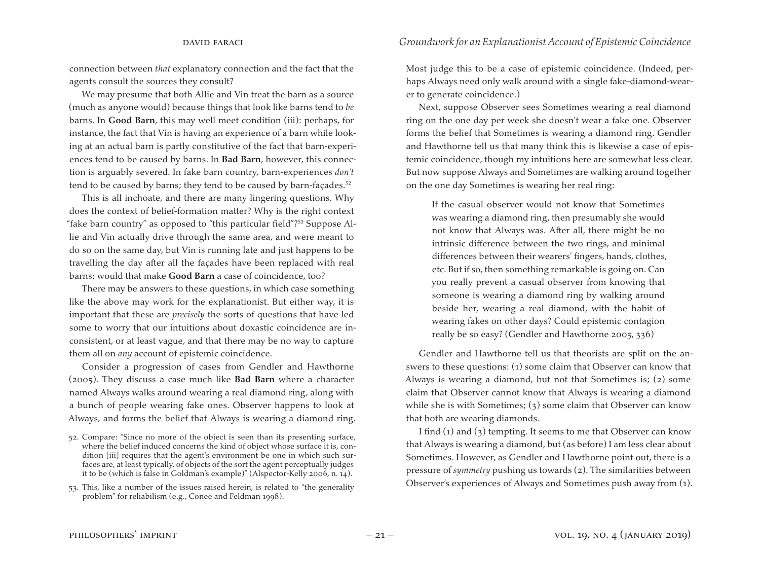connection between *that* explanatory connection and the fact that the agents consult the sources they consult?

We may presume that both Allie and Vin treat the barn as a source (much as anyone would) because things that look like barns tend to *be*  barns. In **Good Barn**, this may well meet condition (iii): perhaps, for instance, the fact that Vin is having an experience of a barn while looking at an actual barn is partly constitutive of the fact that barn-experiences tend to be caused by barns. In **Bad Barn**, however, this connection is arguably severed. In fake barn country, barn-experiences *don't*  tend to be caused by barns; they tend to be caused by barn-façades.<sup>52</sup>

This is all inchoate, and there are many lingering questions. Why does the context of belief-formation matter? Why is the right context "fake barn country" as opposed to "this particular field"?53 Suppose Allie and Vin actually drive through the same area, and were meant to do so on the same day, but Vin is running late and just happens to be travelling the day after all the façades have been replaced with real barns; would that make **Good Barn** a case of coincidence, too?

There may be answers to these questions, in which case something like the above may work for the explanationist. But either way, it is important that these are *precisely* the sorts of questions that have led some to worry that our intuitions about doxastic coincidence are inconsistent, or at least vague, and that there may be no way to capture them all on *any* account of epistemic coincidence.

Consider a progression of cases from Gendler and Hawthorne (2005). They discuss a case much like **Bad Barn** where a character named Always walks around wearing a real diamond ring, along with a bunch of people wearing fake ones. Observer happens to look at Always, and forms the belief that Always is wearing a diamond ring. Most judge this to be a case of epistemic coincidence. (Indeed, perhaps Always need only walk around with a single fake-diamond-wearer to generate coincidence.)

Next, suppose Observer sees Sometimes wearing a real diamond ring on the one day per week she doesn't wear a fake one. Observer forms the belief that Sometimes is wearing a diamond ring. Gendler and Hawthorne tell us that many think this is likewise a case of epistemic coincidence, though my intuitions here are somewhat less clear. But now suppose Always and Sometimes are walking around together on the one day Sometimes is wearing her real ring:

If the casual observer would not know that Sometimes was wearing a diamond ring, then presumably she would not know that Always was. After all, there might be no intrinsic difference between the two rings, and minimal differences between their wearers' fingers, hands, clothes, etc. But if so, then something remarkable is going on. Can you really prevent a casual observer from knowing that someone is wearing a diamond ring by walking around beside her, wearing a real diamond, with the habit of wearing fakes on other days? Could epistemic contagion really be so easy? (Gendler and Hawthorne 2005, 336)

Gendler and Hawthorne tell us that theorists are split on the answers to these questions: (1) some claim that Observer can know that Always is wearing a diamond, but not that Sometimes is; (2) some claim that Observer cannot know that Always is wearing a diamond while she is with Sometimes; (3) some claim that Observer can know that both are wearing diamonds.

I find  $(1)$  and  $(3)$  tempting. It seems to me that Observer can know that Always is wearing a diamond, but (as before) I am less clear about Sometimes. However, as Gendler and Hawthorne point out, there is a pressure of *symmetry* pushing us towards (2). The similarities between Observer's experiences of Always and Sometimes push away from (1).

<sup>52.</sup> Compare: "Since no more of the object is seen than its presenting surface, where the belief induced concerns the kind of object whose surface it is, condition [iii] requires that the agent's environment be one in which such surfaces are, at least typically, of objects of the sort the agent perceptually judges it to be (which is false in Goldman's example)" (Alspector-Kelly 2006, n. 14).

<sup>53.</sup> This, like a number of the issues raised herein, is related to "the generality problem" for reliabilism (e.g., Conee and Feldman 1998).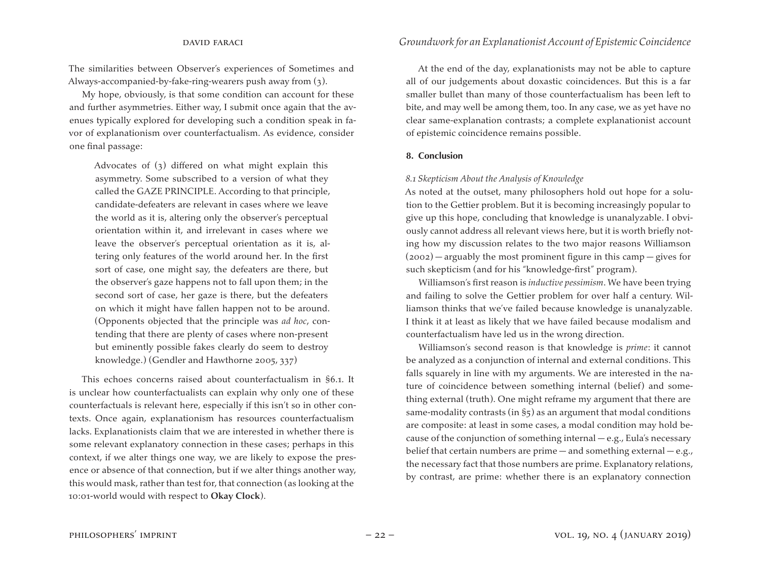The similarities between Observer's experiences of Sometimes and Always-accompanied-by-fake-ring-wearers push away from (3).

My hope, obviously, is that some condition can account for these and further asymmetries. Either way, I submit once again that the avenues typically explored for developing such a condition speak in favor of explanationism over counterfactualism. As evidence, consider one final passage:

Advocates of (3) differed on what might explain this asymmetry. Some subscribed to a version of what they called the GAZE PRINCIPLE. According to that principle, candidate-defeaters are relevant in cases where we leave the world as it is, altering only the observer's perceptual orientation within it, and irrelevant in cases where we leave the observer's perceptual orientation as it is, altering only features of the world around her. In the first sort of case, one might say, the defeaters are there, but the observer's gaze happens not to fall upon them; in the second sort of case, her gaze is there, but the defeaters on which it might have fallen happen not to be around. (Opponents objected that the principle was *ad hoc*, contending that there are plenty of cases where non-present but eminently possible fakes clearly do seem to destroy knowledge.) (Gendler and Hawthorne 2005, 337)

This echoes concerns raised about counterfactualism in §6.1. It is unclear how counterfactualists can explain why only one of these counterfactuals is relevant here, especially if this isn't so in other contexts. Once again, explanationism has resources counterfactualism lacks. Explanationists claim that we are interested in whether there is some relevant explanatory connection in these cases; perhaps in this context, if we alter things one way, we are likely to expose the presence or absence of that connection, but if we alter things another way, this would mask, rather than test for, that connection (as looking at the 10:01-world would with respect to **Okay Clock**).

At the end of the day, explanationists may not be able to capture all of our judgements about doxastic coincidences. But this is a far smaller bullet than many of those counterfactualism has been left to bite, and may well be among them, too. In any case, we as yet have no clear same-explanation contrasts; a complete explanationist account of epistemic coincidence remains possible.

#### **8. Conclusion**

#### *8.1 Skepticism About the Analysis of Knowledge*

As noted at the outset, many philosophers hold out hope for a solution to the Gettier problem. But it is becoming increasingly popular to give up this hope, concluding that knowledge is unanalyzable. I obviously cannot address all relevant views here, but it is worth briefly noting how my discussion relates to the two major reasons Williamson (2002) — arguably the most prominent figure in this camp — gives for such skepticism (and for his "knowledge-first" program).

Williamson's first reason is *inductive pessimism*. We have been trying and failing to solve the Gettier problem for over half a century. Williamson thinks that we've failed because knowledge is unanalyzable. I think it at least as likely that we have failed because modalism and counterfactualism have led us in the wrong direction.

Williamson's second reason is that knowledge is *prime*: it cannot be analyzed as a conjunction of internal and external conditions. This falls squarely in line with my arguments. We are interested in the nature of coincidence between something internal (belief) and something external (truth). One might reframe my argument that there are same-modality contrasts (in §5) as an argument that modal conditions are composite: at least in some cases, a modal condition may hold because of the conjunction of something internal — e.g., Eula's necessary belief that certain numbers are prime — and something external — e.g., the necessary fact that those numbers are prime. Explanatory relations, by contrast, are prime: whether there is an explanatory connection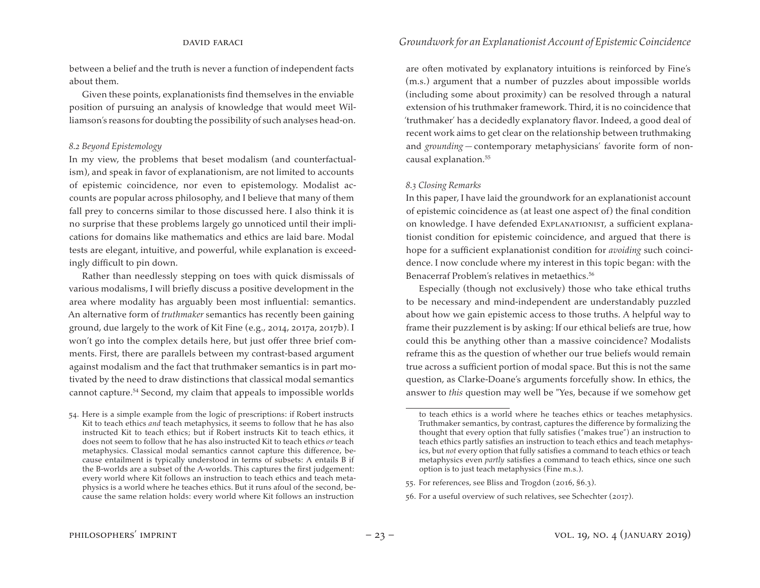between a belief and the truth is never a function of independent facts about them.

Given these points, explanationists find themselves in the enviable position of pursuing an analysis of knowledge that would meet Williamson's reasons for doubting the possibility of such analyses head-on.

#### *8.2 Beyond Epistemology*

In my view, the problems that beset modalism (and counterfactualism), and speak in favor of explanationism, are not limited to accounts of epistemic coincidence, nor even to epistemology. Modalist accounts are popular across philosophy, and I believe that many of them fall prey to concerns similar to those discussed here. I also think it is no surprise that these problems largely go unnoticed until their implications for domains like mathematics and ethics are laid bare. Modal tests are elegant, intuitive, and powerful, while explanation is exceedingly difficult to pin down.

Rather than needlessly stepping on toes with quick dismissals of various modalisms, I will briefly discuss a positive development in the area where modality has arguably been most influential: semantics. An alternative form of *truthmaker* semantics has recently been gaining ground, due largely to the work of Kit Fine (e.g., 2014, 2017a, 2017b). I won't go into the complex details here, but just offer three brief comments. First, there are parallels between my contrast-based argument against modalism and the fact that truthmaker semantics is in part motivated by the need to draw distinctions that classical modal semantics cannot capture.54 Second, my claim that appeals to impossible worlds

are often motivated by explanatory intuitions is reinforced by Fine's (m.s.) argument that a number of puzzles about impossible worlds (including some about proximity) can be resolved through a natural extension of his truthmaker framework. Third, it is no coincidence that 'truthmaker' has a decidedly explanatory flavor. Indeed, a good deal of recent work aims to get clear on the relationship between truthmaking and *grounding* — contemporary metaphysicians' favorite form of noncausal explanation.55

#### *8.3 Closing Remarks*

In this paper, I have laid the groundwork for an explanationist account of epistemic coincidence as (at least one aspect of) the final condition on knowledge. I have defended ExpLANATIONIST, a sufficient explanationist condition for epistemic coincidence, and argued that there is hope for a sufficient explanationist condition for *avoiding* such coincidence. I now conclude where my interest in this topic began: with the Benacerraf Problem's relatives in metaethics.<sup>56</sup>

Especially (though not exclusively) those who take ethical truths to be necessary and mind-independent are understandably puzzled about how we gain epistemic access to those truths. A helpful way to frame their puzzlement is by asking: If our ethical beliefs are true, how could this be anything other than a massive coincidence? Modalists reframe this as the question of whether our true beliefs would remain true across a sufficient portion of modal space. But this is not the same question, as Clarke-Doane's arguments forcefully show. In ethics, the answer to *this* question may well be "Yes, because if we somehow get

<sup>54.</sup> Here is a simple example from the logic of prescriptions: if Robert instructs Kit to teach ethics *and* teach metaphysics, it seems to follow that he has also instructed Kit to teach ethics; but if Robert instructs Kit to teach ethics, it does not seem to follow that he has also instructed Kit to teach ethics *or* teach metaphysics. Classical modal semantics cannot capture this difference, because entailment is typically understood in terms of subsets: A entails B if the B-worlds are a subset of the A-worlds. This captures the first judgement: every world where Kit follows an instruction to teach ethics and teach metaphysics is a world where he teaches ethics. But it runs afoul of the second, because the same relation holds: every world where Kit follows an instruction

to teach ethics is a world where he teaches ethics or teaches metaphysics. Truthmaker semantics, by contrast, captures the difference by formalizing the thought that every option that fully satisfies ("makes true") an instruction to teach ethics partly satisfies an instruction to teach ethics and teach metaphysics, but *not* every option that fully satisfies a command to teach ethics or teach metaphysics even *partly* satisfies a command to teach ethics, since one such option is to just teach metaphysics (Fine m.s.).

<sup>55.</sup> For references, see Bliss and Trogdon (2016, §6.3).

<sup>56.</sup> For a useful overview of such relatives, see Schechter (2017).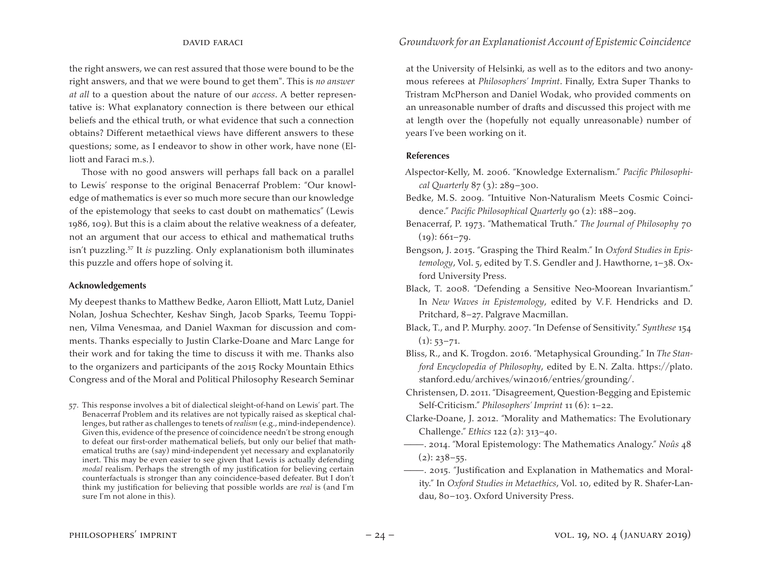the right answers, we can rest assured that those were bound to be the right answers, and that we were bound to get them". This is *no answer at all* to a question about the nature of our *access*. A better representative is: What explanatory connection is there between our ethical beliefs and the ethical truth, or what evidence that such a connection obtains? Different metaethical views have different answers to these questions; some, as I endeavor to show in other work, have none (Elliott and Faraci m.s.).

Those with no good answers will perhaps fall back on a parallel to Lewis' response to the original Benacerraf Problem: "Our knowledge of mathematics is ever so much more secure than our knowledge of the epistemology that seeks to cast doubt on mathematics" (Lewis 1986, 109). But this is a claim about the relative weakness of a defeater, not an argument that our access to ethical and mathematical truths isn't puzzling.57 It *is* puzzling. Only explanationism both illuminates this puzzle and offers hope of solving it.

#### **Acknowledgements**

My deepest thanks to Matthew Bedke, Aaron Elliott, Matt Lutz, Daniel Nolan, Joshua Schechter, Keshav Singh, Jacob Sparks, Teemu Toppinen, Vilma Venesmaa, and Daniel Waxman for discussion and comments. Thanks especially to Justin Clarke-Doane and Marc Lange for their work and for taking the time to discuss it with me. Thanks also to the organizers and participants of the 2015 Rocky Mountain Ethics Congress and of the Moral and Political Philosophy Research Seminar

57. This response involves a bit of dialectical sleight-of-hand on Lewis' part. The Benacerraf Problem and its relatives are not typically raised as skeptical challenges, but rather as challenges to tenets of *realism* (e.g., mind-independence). Given this, evidence of the presence of coincidence needn't be strong enough to defeat our first-order mathematical beliefs, but only our belief that mathematical truths are (say) mind-independent yet necessary and explanatorily inert. This may be even easier to see given that Lewis is actually defending *modal* realism. Perhaps the strength of my justification for believing certain counterfactuals is stronger than any coincidence-based defeater. But I don't think my justification for believing that possible worlds are *real* is (and I'm sure I'm not alone in this).

at the University of Helsinki, as well as to the editors and two anonymous referees at *Philosophers' Imprint*. Finally, Extra Super Thanks to Tristram McPherson and Daniel Wodak, who provided comments on an unreasonable number of drafts and discussed this project with me at length over the (hopefully not equally unreasonable) number of years I've been working on it.

#### **References**

- Alspector-Kelly, M. 2006. "Knowledge Externalism." *Pacific Philosophical Quarterly* 87 (3): 289–300.
- Bedke, M.S. 2009. "Intuitive Non-Naturalism Meets Cosmic Coincidence." *Pacific Philosophical Quarterly* 90 (2): 188–209.
- Benacerraf, P. 1973. "Mathematical Truth." *The Journal of Philosophy* 70  $(19): 661 - 79.$
- Bengson, J. 2015. "Grasping the Third Realm." In *Oxford Studies in Epistemology*, Vol. 5, edited by T.S. Gendler and J. Hawthorne, 1–38. Oxford University Press.
- Black, T. 2008. "Defending a Sensitive Neo-Moorean Invariantism." In *New Waves in Epistemology*, edited by V. F. Hendricks and D. Pritchard, 8–27. Palgrave Macmillan.
- Black, T., and P. Murphy. 2007. "In Defense of Sensitivity." *Synthese* 154  $(1): 53-71.$
- Bliss, R., and K. Trogdon. 2016. "Metaphysical Grounding." In *The Stanford Encyclopedia of Philosophy*, edited by E.N. Zalta. https://plato. stanford.edu/archives/win2016/entries/grounding/.
- Christensen, D. 2011."Disagreement, Question-Begging and Epistemic Self-Criticism." *Philosophers' Imprint* 11 (6): 1–22.
- Clarke-Doane, J. 2012. "Morality and Mathematics: The Evolutionary Challenge." *Ethics* 122 (2): 313–40.
- ———. 2014. "Moral Epistemology: The Mathematics Analogy." *Noûs* 48  $(2): 238 - 55.$
- ———. 2015. "Justification and Explanation in Mathematics and Morality." In *Oxford Studies in Metaethics*, Vol. 10, edited by R. Shafer-Landau, 80–103. Oxford University Press.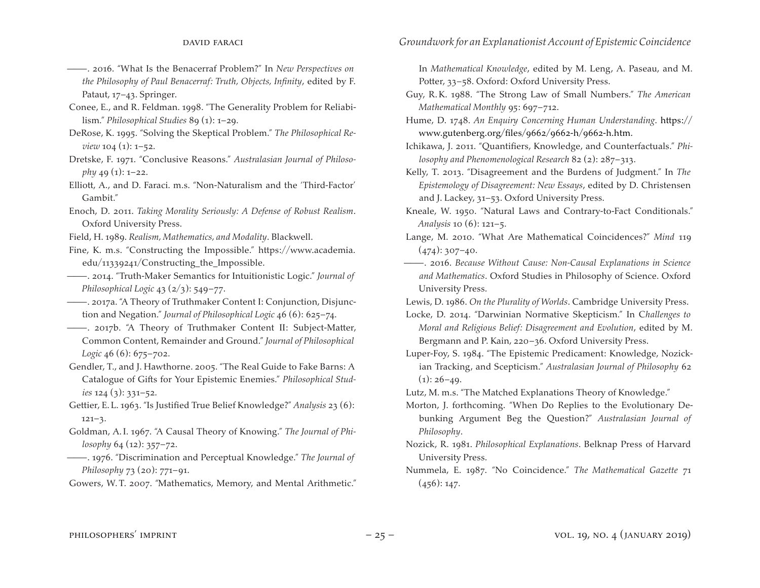- ———. 2016. "What Is the Benacerraf Problem?" In *New Perspectives on the Philosophy of Paul Benacerraf: Truth, Objects, Infinity*, edited by F. Pataut, 17–43. Springer.
- Conee, E., and R. Feldman. 1998. "The Generality Problem for Reliabilism." *Philosophical Studies* 89 (1): 1–29.
- DeRose, K. 1995. "Solving the Skeptical Problem." *The Philosophical Review* 104 (1): 1–52.
- Dretske, F. 1971. "Conclusive Reasons." *Australasian Journal of Philosophy* 49 (1): 1–22.
- Elliott, A., and D. Faraci. m.s. "Non-Naturalism and the 'Third-Factor' Gambit."
- Enoch, D. 2011. *Taking Morality Seriously: A Defense of Robust Realism*. Oxford University Press.
- Field, H. 1989. *Realism, Mathematics, and Modality*. Blackwell.
- Fine, K. m.s. "Constructing the Impossible." https://www.academia. edu/11339241/Constructing\_the\_Impossible.
- ———. 2014. "Truth-Maker Semantics for Intuitionistic Logic." *Journal of Philosophical Logic* 43 (2/3): 549–77.
- ———. 2017a. "A Theory of Truthmaker Content I: Conjunction, Disjunction and Negation." *Journal of Philosophical Logic* 46 (6): 625–74.
- ———. 2017b. "A Theory of Truthmaker Content II: Subject-Matter, Common Content, Remainder and Ground." *Journal of Philosophical Logic* 46 (6): 675–702.
- Gendler, T., and J. Hawthorne. 2005. "The Real Guide to Fake Barns: A Catalogue of Gifts for Your Epistemic Enemies." *Philosophical Studies* 124 (3): 331–52.
- Gettier, E.L. 1963. "Is Justified True Belief Knowledge?" *Analysis* 23 (6): 121–3.
- Goldman, A.I. 1967. "A Causal Theory of Knowing." *The Journal of Philosophy* 64 (12): 357–72.
- ———. 1976. "Discrimination and Perceptual Knowledge." *The Journal of Philosophy* 73 (20): 771–91.

Gowers, W.T. 2007. "Mathematics, Memory, and Mental Arithmetic."

In *Mathematical Knowledge*, edited by M. Leng, A. Paseau, and M. Potter, 33–58. Oxford: Oxford University Press.

- Guy, R.K. 1988. "The Strong Law of Small Numbers." *The American Mathematical Monthly* 95: 697–712.
- Hume, D. 1748. *An Enquiry Concerning Human Understanding*. https:// www.gutenberg.org/files/9662/9662-h/9662-h.htm.
- Ichikawa, J. 2011. "Quantifiers, Knowledge, and Counterfactuals." *Philosophy and Phenomenological Research* 82 (2): 287–313.
- Kelly, T. 2013. "Disagreement and the Burdens of Judgment." In *The Epistemology of Disagreement: New Essays*, edited by D. Christensen and J. Lackey, 31–53. Oxford University Press.
- Kneale, W. 1950. "Natural Laws and Contrary-to-Fact Conditionals." *Analysis* 10 (6): 121–5.
- Lange, M. 2010. "What Are Mathematical Coincidences?" *Mind* 119  $(474)$ : 307–40.
- ———. 2016. *Because Without Cause: Non-Causal Explanations in Science and Mathematics*. Oxford Studies in Philosophy of Science. Oxford University Press.

Lewis, D. 1986. *On the Plurality of Worlds*. Cambridge University Press.

- Locke, D. 2014. "Darwinian Normative Skepticism." In C*hallenges to Moral and Religious Belief: Disagreement and Evolution*, edited by M. Bergmann and P. Kain, 220–36. Oxford University Press.
- Luper-Foy, S. 1984. "The Epistemic Predicament: Knowledge, Nozickian Tracking, and Scepticism." *Australasian Journal of Philosophy* 62  $(1)$ : 26–49.
- Lutz, M. m.s. "The Matched Explanations Theory of Knowledge."
- Morton, J. forthcoming. "When Do Replies to the Evolutionary Debunking Argument Beg the Question?" *Australasian Journal of Philosophy*.
- Nozick, R. 1981. *Philosophical Explanations*. Belknap Press of Harvard University Press.
- Nummela, E. 1987. "No Coincidence." *The Mathematical Gazette* 71  $(456): 147.$